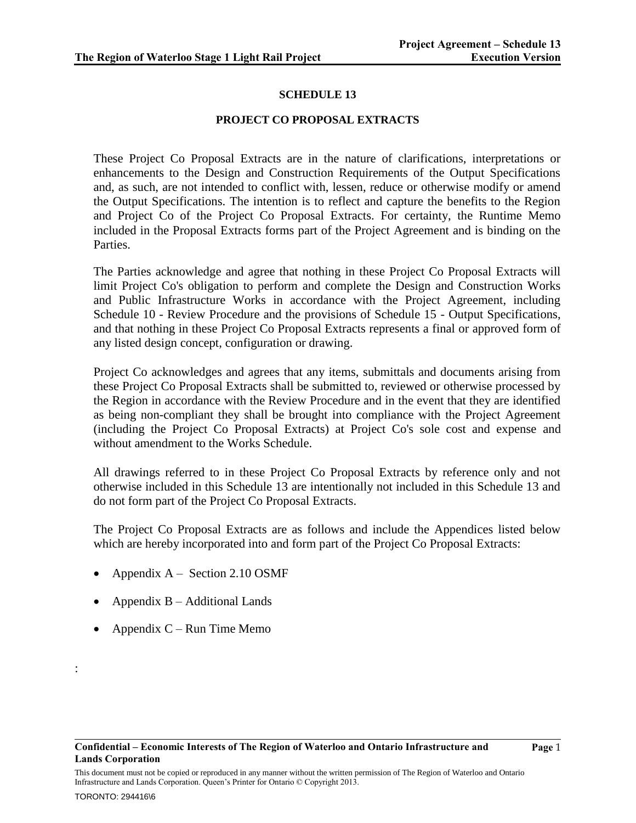### **SCHEDULE 13**

#### **PROJECT CO PROPOSAL EXTRACTS**

These Project Co Proposal Extracts are in the nature of clarifications, interpretations or enhancements to the Design and Construction Requirements of the Output Specifications and, as such, are not intended to conflict with, lessen, reduce or otherwise modify or amend the Output Specifications. The intention is to reflect and capture the benefits to the Region and Project Co of the Project Co Proposal Extracts. For certainty, the Runtime Memo included in the Proposal Extracts forms part of the Project Agreement and is binding on the Parties.

The Parties acknowledge and agree that nothing in these Project Co Proposal Extracts will limit Project Co's obligation to perform and complete the Design and Construction Works and Public Infrastructure Works in accordance with the Project Agreement, including Schedule 10 - Review Procedure and the provisions of Schedule 15 - Output Specifications, and that nothing in these Project Co Proposal Extracts represents a final or approved form of any listed design concept, configuration or drawing.

Project Co acknowledges and agrees that any items, submittals and documents arising from these Project Co Proposal Extracts shall be submitted to, reviewed or otherwise processed by the Region in accordance with the Review Procedure and in the event that they are identified as being non-compliant they shall be brought into compliance with the Project Agreement (including the Project Co Proposal Extracts) at Project Co's sole cost and expense and without amendment to the Works Schedule.

All drawings referred to in these Project Co Proposal Extracts by reference only and not otherwise included in this Schedule 13 are intentionally not included in this Schedule 13 and do not form part of the Project Co Proposal Extracts.

The Project Co Proposal Extracts are as follows and include the Appendices listed below which are hereby incorporated into and form part of the Project Co Proposal Extracts:

- Appendix A Section 2.10 OSMF
- Appendix B Additional Lands
- Appendix  $C$  Run Time Memo

:

This document must not be copied or reproduced in any manner without the written permission of The Region of Waterloo and Ontario Infrastructure and Lands Corporation. Queen's Printer for Ontario © Copyright 2013.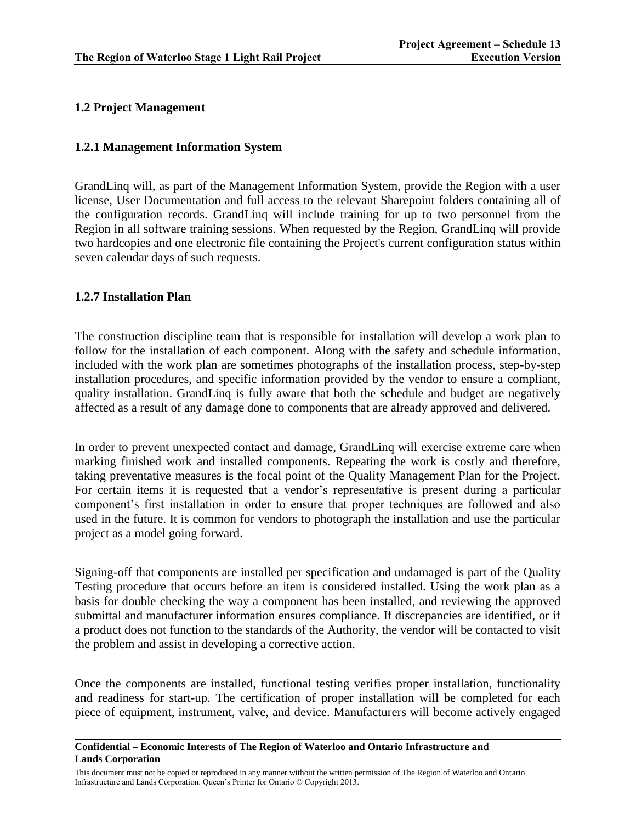# **1.2 Project Management**

## **1.2.1 Management Information System**

GrandLinq will, as part of the Management Information System, provide the Region with a user license, User Documentation and full access to the relevant Sharepoint folders containing all of the configuration records. GrandLinq will include training for up to two personnel from the Region in all software training sessions. When requested by the Region, GrandLinq will provide two hardcopies and one electronic file containing the Project's current configuration status within seven calendar days of such requests.

# **1.2.7 Installation Plan**

The construction discipline team that is responsible for installation will develop a work plan to follow for the installation of each component. Along with the safety and schedule information, included with the work plan are sometimes photographs of the installation process, step-by-step installation procedures, and specific information provided by the vendor to ensure a compliant, quality installation. GrandLinq is fully aware that both the schedule and budget are negatively affected as a result of any damage done to components that are already approved and delivered.

In order to prevent unexpected contact and damage, GrandLinq will exercise extreme care when marking finished work and installed components. Repeating the work is costly and therefore, taking preventative measures is the focal point of the Quality Management Plan for the Project. For certain items it is requested that a vendor's representative is present during a particular component's first installation in order to ensure that proper techniques are followed and also used in the future. It is common for vendors to photograph the installation and use the particular project as a model going forward.

Signing-off that components are installed per specification and undamaged is part of the Quality Testing procedure that occurs before an item is considered installed. Using the work plan as a basis for double checking the way a component has been installed, and reviewing the approved submittal and manufacturer information ensures compliance. If discrepancies are identified, or if a product does not function to the standards of the Authority, the vendor will be contacted to visit the problem and assist in developing a corrective action.

Once the components are installed, functional testing verifies proper installation, functionality and readiness for start-up. The certification of proper installation will be completed for each piece of equipment, instrument, valve, and device. Manufacturers will become actively engaged

#### **Confidential – Economic Interests of The Region of Waterloo and Ontario Infrastructure and Lands Corporation**

This document must not be copied or reproduced in any manner without the written permission of The Region of Waterloo and Ontario Infrastructure and Lands Corporation. Queen's Printer for Ontario © Copyright 2013.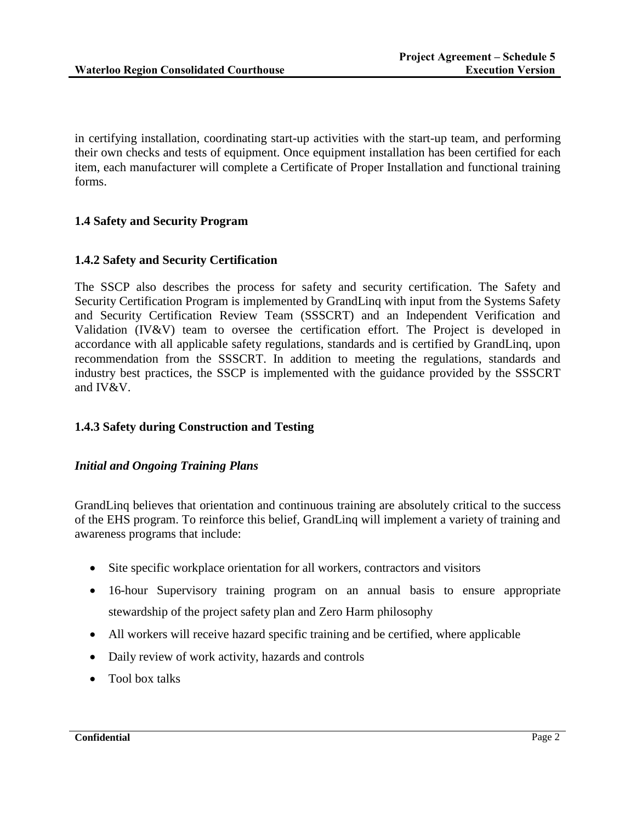in certifying installation, coordinating start-up activities with the start-up team, and performing their own checks and tests of equipment. Once equipment installation has been certified for each item, each manufacturer will complete a Certificate of Proper Installation and functional training forms.

## **1.4 Safety and Security Program**

## **1.4.2 Safety and Security Certification**

The SSCP also describes the process for safety and security certification. The Safety and Security Certification Program is implemented by GrandLinq with input from the Systems Safety and Security Certification Review Team (SSSCRT) and an Independent Verification and Validation (IV&V) team to oversee the certification effort. The Project is developed in accordance with all applicable safety regulations, standards and is certified by GrandLinq, upon recommendation from the SSSCRT. In addition to meeting the regulations, standards and industry best practices, the SSCP is implemented with the guidance provided by the SSSCRT and IV&V.

### **1.4.3 Safety during Construction and Testing**

### *Initial and Ongoing Training Plans*

GrandLinq believes that orientation and continuous training are absolutely critical to the success of the EHS program. To reinforce this belief, GrandLinq will implement a variety of training and awareness programs that include:

- Site specific workplace orientation for all workers, contractors and visitors
- 16-hour Supervisory training program on an annual basis to ensure appropriate stewardship of the project safety plan and Zero Harm philosophy
- All workers will receive hazard specific training and be certified, where applicable
- Daily review of work activity, hazards and controls
- Tool box talks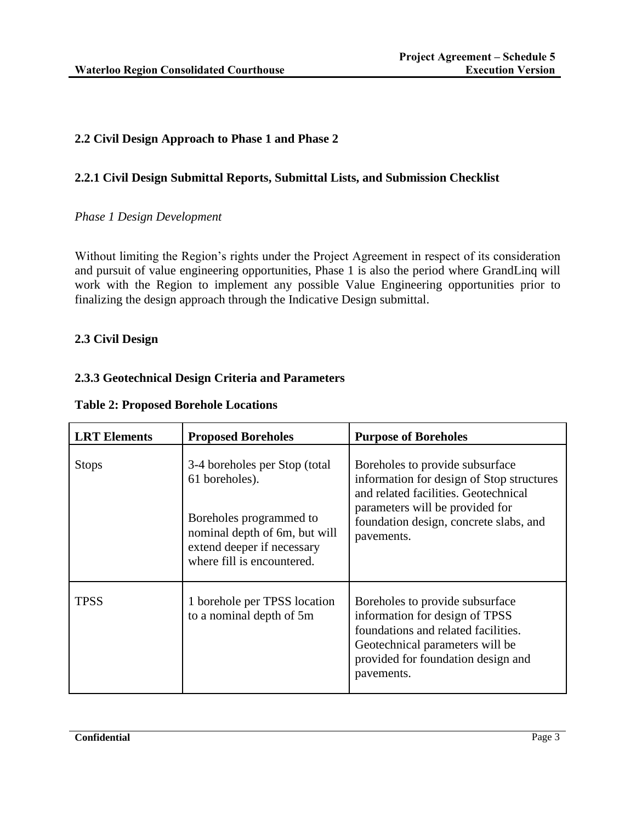# **2.2 Civil Design Approach to Phase 1 and Phase 2**

## **2.2.1 Civil Design Submittal Reports, Submittal Lists, and Submission Checklist**

## *Phase 1 Design Development*

Without limiting the Region's rights under the Project Agreement in respect of its consideration and pursuit of value engineering opportunities, Phase 1 is also the period where GrandLinq will work with the Region to implement any possible Value Engineering opportunities prior to finalizing the design approach through the Indicative Design submittal.

### **2.3 Civil Design**

## **2.3.3 Geotechnical Design Criteria and Parameters**

| <b>LRT</b> Elements | <b>Proposed Boreholes</b>                                                                                            | <b>Purpose of Boreholes</b>                                                                                                                                                                     |
|---------------------|----------------------------------------------------------------------------------------------------------------------|-------------------------------------------------------------------------------------------------------------------------------------------------------------------------------------------------|
| <b>Stops</b>        | 3-4 boreholes per Stop (total<br>61 boreholes).                                                                      | Boreholes to provide subsurface<br>information for design of Stop structures<br>and related facilities. Geotechnical                                                                            |
|                     | Boreholes programmed to<br>nominal depth of 6m, but will<br>extend deeper if necessary<br>where fill is encountered. | parameters will be provided for<br>foundation design, concrete slabs, and<br>pavements.                                                                                                         |
| <b>TPSS</b>         | 1 borehole per TPSS location<br>to a nominal depth of 5m                                                             | Boreholes to provide subsurface<br>information for design of TPSS<br>foundations and related facilities.<br>Geotechnical parameters will be<br>provided for foundation design and<br>pavements. |

# **Table 2: Proposed Borehole Locations**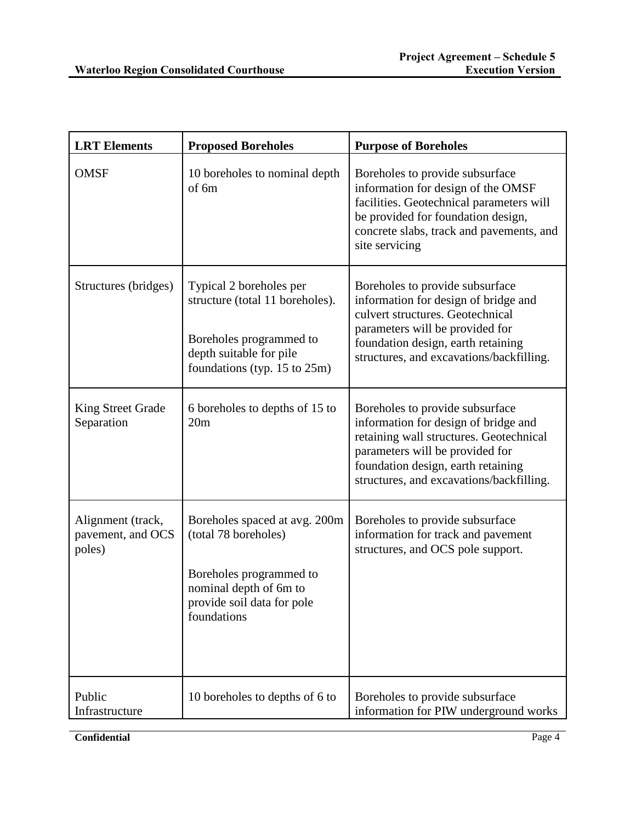| <b>LRT</b> Elements                              | <b>Proposed Boreholes</b>                                                                                                                               | <b>Purpose of Boreholes</b>                                                                                                                                                                                                             |
|--------------------------------------------------|---------------------------------------------------------------------------------------------------------------------------------------------------------|-----------------------------------------------------------------------------------------------------------------------------------------------------------------------------------------------------------------------------------------|
| <b>OMSF</b>                                      | 10 boreholes to nominal depth<br>of 6m                                                                                                                  | Boreholes to provide subsurface<br>information for design of the OMSF<br>facilities. Geotechnical parameters will<br>be provided for foundation design,<br>concrete slabs, track and pavements, and<br>site servicing                   |
| Structures (bridges)                             | Typical 2 boreholes per<br>structure (total 11 boreholes).<br>Boreholes programmed to<br>depth suitable for pile<br>foundations (typ. $15$ to $25m$ )   | Boreholes to provide subsurface<br>information for design of bridge and<br>culvert structures. Geotechnical<br>parameters will be provided for<br>foundation design, earth retaining<br>structures, and excavations/backfilling.        |
| <b>King Street Grade</b><br>Separation           | 6 boreholes to depths of 15 to<br>20m                                                                                                                   | Boreholes to provide subsurface<br>information for design of bridge and<br>retaining wall structures. Geotechnical<br>parameters will be provided for<br>foundation design, earth retaining<br>structures, and excavations/backfilling. |
| Alignment (track,<br>pavement, and OCS<br>poles) | Boreholes spaced at avg. 200m<br>(total 78 boreholes)<br>Boreholes programmed to<br>nominal depth of 6m to<br>provide soil data for pole<br>foundations | Boreholes to provide subsurface<br>information for track and pavement<br>structures, and OCS pole support.                                                                                                                              |
| Public<br>Infrastructure                         | 10 boreholes to depths of 6 to                                                                                                                          | Boreholes to provide subsurface<br>information for PIW underground works                                                                                                                                                                |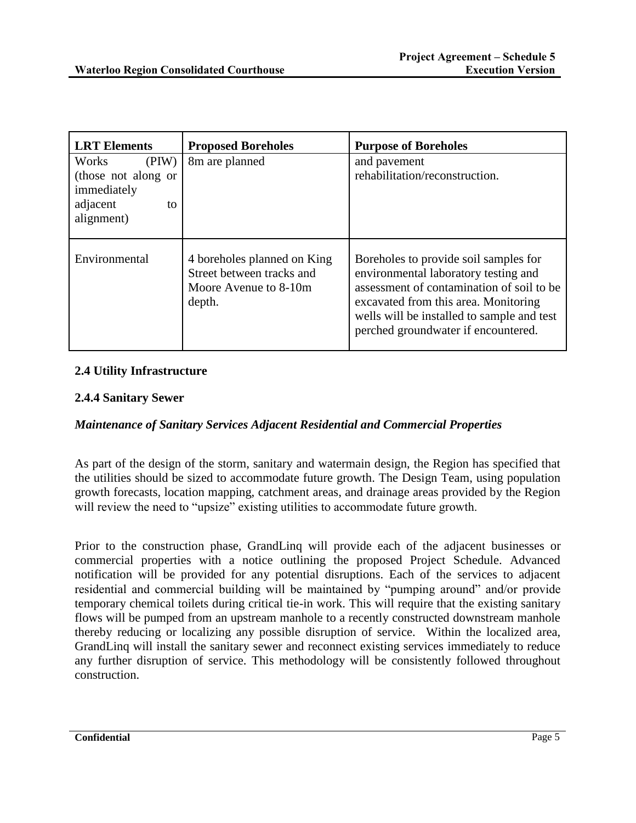| <b>LRT</b> Elements                                                                  | <b>Proposed Boreholes</b>                                                                   | <b>Purpose of Boreholes</b>                                                                                                                                                                                                                             |
|--------------------------------------------------------------------------------------|---------------------------------------------------------------------------------------------|---------------------------------------------------------------------------------------------------------------------------------------------------------------------------------------------------------------------------------------------------------|
| Works<br>(PIW)<br>(those not along or<br>immediately<br>adjacent<br>to<br>alignment) | 8m are planned                                                                              | and pavement<br>rehabilitation/reconstruction.                                                                                                                                                                                                          |
| Environmental                                                                        | 4 boreholes planned on King<br>Street between tracks and<br>Moore Avenue to 8-10m<br>depth. | Boreholes to provide soil samples for<br>environmental laboratory testing and<br>assessment of contamination of soil to be<br>excavated from this area. Monitoring<br>wells will be installed to sample and test<br>perched groundwater if encountered. |

## **2.4 Utility Infrastructure**

### **2.4.4 Sanitary Sewer**

### *Maintenance of Sanitary Services Adjacent Residential and Commercial Properties*

As part of the design of the storm, sanitary and watermain design, the Region has specified that the utilities should be sized to accommodate future growth. The Design Team, using population growth forecasts, location mapping, catchment areas, and drainage areas provided by the Region will review the need to "upsize" existing utilities to accommodate future growth.

Prior to the construction phase, GrandLinq will provide each of the adjacent businesses or commercial properties with a notice outlining the proposed Project Schedule. Advanced notification will be provided for any potential disruptions. Each of the services to adjacent residential and commercial building will be maintained by "pumping around" and/or provide temporary chemical toilets during critical tie-in work. This will require that the existing sanitary flows will be pumped from an upstream manhole to a recently constructed downstream manhole thereby reducing or localizing any possible disruption of service. Within the localized area, GrandLinq will install the sanitary sewer and reconnect existing services immediately to reduce any further disruption of service. This methodology will be consistently followed throughout construction.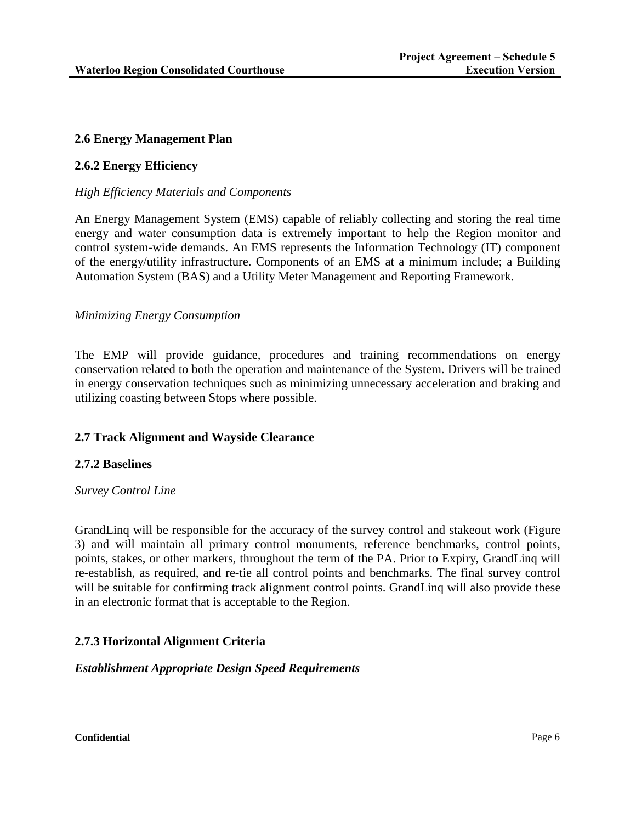## **2.6 Energy Management Plan**

## **2.6.2 Energy Efficiency**

### *High Efficiency Materials and Components*

An Energy Management System (EMS) capable of reliably collecting and storing the real time energy and water consumption data is extremely important to help the Region monitor and control system-wide demands. An EMS represents the Information Technology (IT) component of the energy/utility infrastructure. Components of an EMS at a minimum include; a Building Automation System (BAS) and a Utility Meter Management and Reporting Framework.

### *Minimizing Energy Consumption*

The EMP will provide guidance, procedures and training recommendations on energy conservation related to both the operation and maintenance of the System. Drivers will be trained in energy conservation techniques such as minimizing unnecessary acceleration and braking and utilizing coasting between Stops where possible.

### **2.7 Track Alignment and Wayside Clearance**

### **2.7.2 Baselines**

### *Survey Control Line*

GrandLinq will be responsible for the accuracy of the survey control and stakeout work (Figure 3) and will maintain all primary control monuments, reference benchmarks, control points, points, stakes, or other markers, throughout the term of the PA. Prior to Expiry, GrandLinq will re-establish, as required, and re-tie all control points and benchmarks. The final survey control will be suitable for confirming track alignment control points. GrandLinq will also provide these in an electronic format that is acceptable to the Region.

# **2.7.3 Horizontal Alignment Criteria**

### *Establishment Appropriate Design Speed Requirements*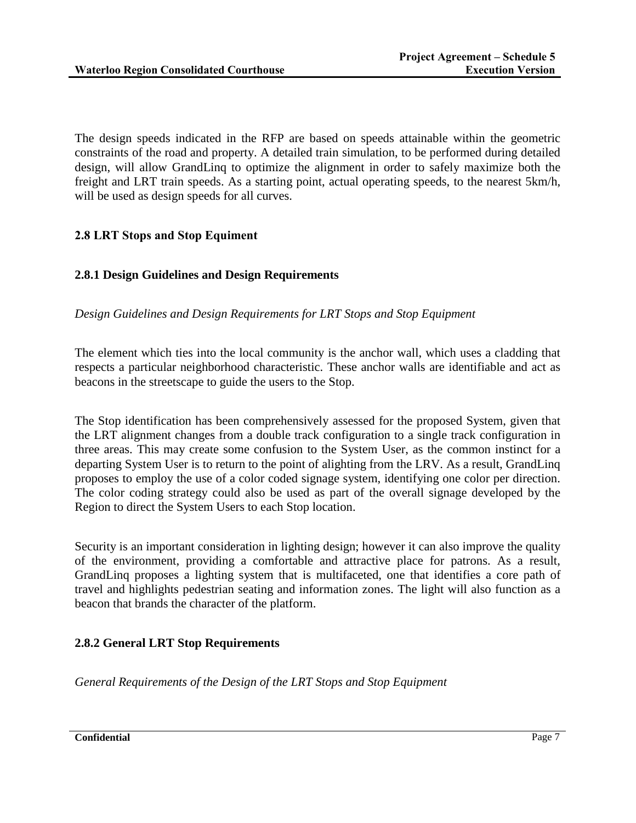The design speeds indicated in the RFP are based on speeds attainable within the geometric constraints of the road and property. A detailed train simulation, to be performed during detailed design, will allow GrandLinq to optimize the alignment in order to safely maximize both the freight and LRT train speeds. As a starting point, actual operating speeds, to the nearest 5km/h, will be used as design speeds for all curves.

# **2.8 LRT Stops and Stop Equiment**

# **2.8.1 Design Guidelines and Design Requirements**

*Design Guidelines and Design Requirements for LRT Stops and Stop Equipment*

The element which ties into the local community is the anchor wall, which uses a cladding that respects a particular neighborhood characteristic. These anchor walls are identifiable and act as beacons in the streetscape to guide the users to the Stop.

The Stop identification has been comprehensively assessed for the proposed System, given that the LRT alignment changes from a double track configuration to a single track configuration in three areas. This may create some confusion to the System User, as the common instinct for a departing System User is to return to the point of alighting from the LRV. As a result, GrandLinq proposes to employ the use of a color coded signage system, identifying one color per direction. The color coding strategy could also be used as part of the overall signage developed by the Region to direct the System Users to each Stop location.

Security is an important consideration in lighting design; however it can also improve the quality of the environment, providing a comfortable and attractive place for patrons. As a result, GrandLinq proposes a lighting system that is multifaceted, one that identifies a core path of travel and highlights pedestrian seating and information zones. The light will also function as a beacon that brands the character of the platform.

# **2.8.2 General LRT Stop Requirements**

*General Requirements of the Design of the LRT Stops and Stop Equipment*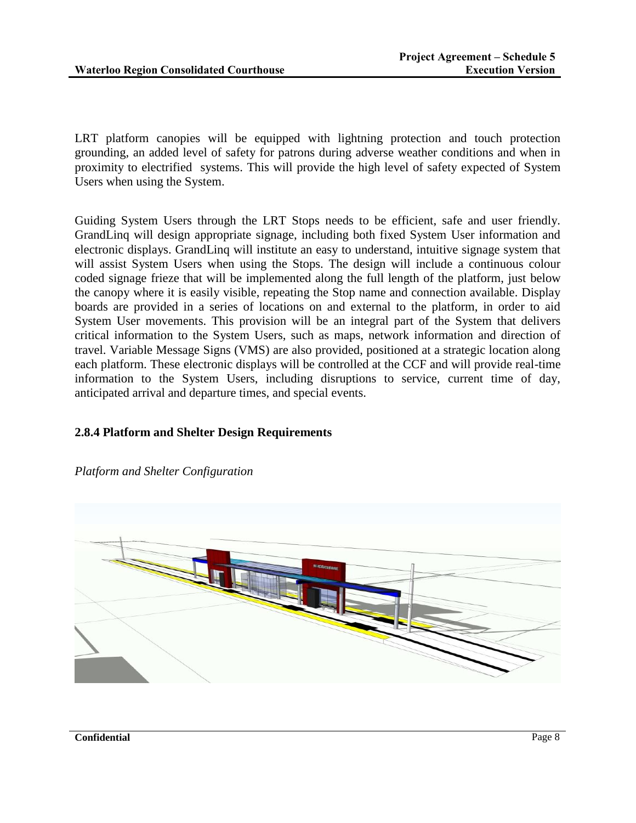LRT platform canopies will be equipped with lightning protection and touch protection grounding, an added level of safety for patrons during adverse weather conditions and when in proximity to electrified systems. This will provide the high level of safety expected of System Users when using the System.

Guiding System Users through the LRT Stops needs to be efficient, safe and user friendly. GrandLinq will design appropriate signage, including both fixed System User information and electronic displays. GrandLinq will institute an easy to understand, intuitive signage system that will assist System Users when using the Stops. The design will include a continuous colour coded signage frieze that will be implemented along the full length of the platform, just below the canopy where it is easily visible, repeating the Stop name and connection available. Display boards are provided in a series of locations on and external to the platform, in order to aid System User movements. This provision will be an integral part of the System that delivers critical information to the System Users, such as maps, network information and direction of travel. Variable Message Signs (VMS) are also provided, positioned at a strategic location along each platform. These electronic displays will be controlled at the CCF and will provide real-time information to the System Users, including disruptions to service, current time of day, anticipated arrival and departure times, and special events.

# **2.8.4 Platform and Shelter Design Requirements**



*Platform and Shelter Configuration*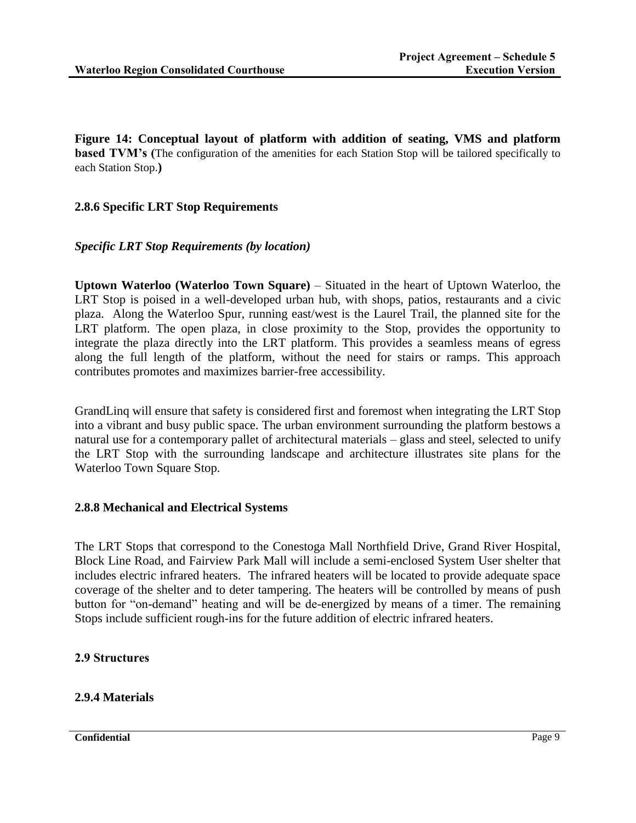**Figure 14: Conceptual layout of platform with addition of seating, VMS and platform based TVM's (The configuration of the amenities for each Station Stop will be tailored specifically to** each Station Stop.**)**

## **2.8.6 Specific LRT Stop Requirements**

### *Specific LRT Stop Requirements (by location)*

**Uptown Waterloo (Waterloo Town Square)** – Situated in the heart of Uptown Waterloo, the LRT Stop is poised in a well-developed urban hub, with shops, patios, restaurants and a civic plaza. Along the Waterloo Spur, running east/west is the Laurel Trail, the planned site for the LRT platform. The open plaza, in close proximity to the Stop, provides the opportunity to integrate the plaza directly into the LRT platform. This provides a seamless means of egress along the full length of the platform, without the need for stairs or ramps. This approach contributes promotes and maximizes barrier-free accessibility.

GrandLinq will ensure that safety is considered first and foremost when integrating the LRT Stop into a vibrant and busy public space. The urban environment surrounding the platform bestows a natural use for a contemporary pallet of architectural materials – glass and steel, selected to unify the LRT Stop with the surrounding landscape and architecture illustrates site plans for the Waterloo Town Square Stop.

### **2.8.8 Mechanical and Electrical Systems**

The LRT Stops that correspond to the Conestoga Mall Northfield Drive, Grand River Hospital, Block Line Road, and Fairview Park Mall will include a semi-enclosed System User shelter that includes electric infrared heaters. The infrared heaters will be located to provide adequate space coverage of the shelter and to deter tampering. The heaters will be controlled by means of push button for "on-demand" heating and will be de-energized by means of a timer. The remaining Stops include sufficient rough-ins for the future addition of electric infrared heaters.

### **2.9 Structures**

# **2.9.4 Materials**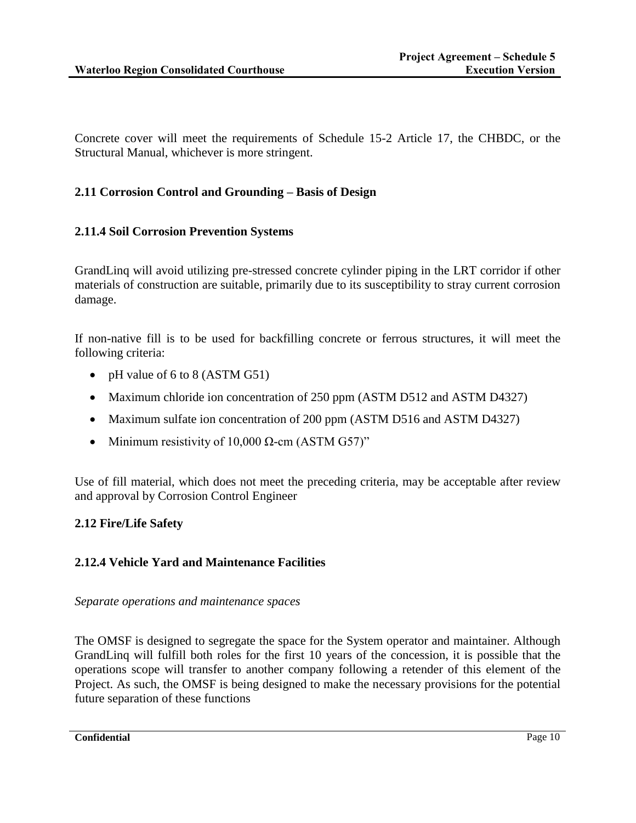Concrete cover will meet the requirements of Schedule 15-2 Article 17, the CHBDC, or the Structural Manual, whichever is more stringent.

# **2.11 Corrosion Control and Grounding – Basis of Design**

## **2.11.4 Soil Corrosion Prevention Systems**

GrandLinq will avoid utilizing pre-stressed concrete cylinder piping in the LRT corridor if other materials of construction are suitable, primarily due to its susceptibility to stray current corrosion damage.

If non-native fill is to be used for backfilling concrete or ferrous structures, it will meet the following criteria:

- pH value of 6 to 8 (ASTM G51)
- Maximum chloride ion concentration of 250 ppm (ASTM D512 and ASTM D4327)
- Maximum sulfate ion concentration of 200 ppm (ASTM D516 and ASTM D4327)
- Minimum resistivity of 10,000  $\Omega$ -cm (ASTM G57)"

Use of fill material, which does not meet the preceding criteria, may be acceptable after review and approval by Corrosion Control Engineer

# **2.12 Fire/Life Safety**

# **2.12.4 Vehicle Yard and Maintenance Facilities**

*Separate operations and maintenance spaces*

The OMSF is designed to segregate the space for the System operator and maintainer. Although GrandLinq will fulfill both roles for the first 10 years of the concession, it is possible that the operations scope will transfer to another company following a retender of this element of the Project. As such, the OMSF is being designed to make the necessary provisions for the potential future separation of these functions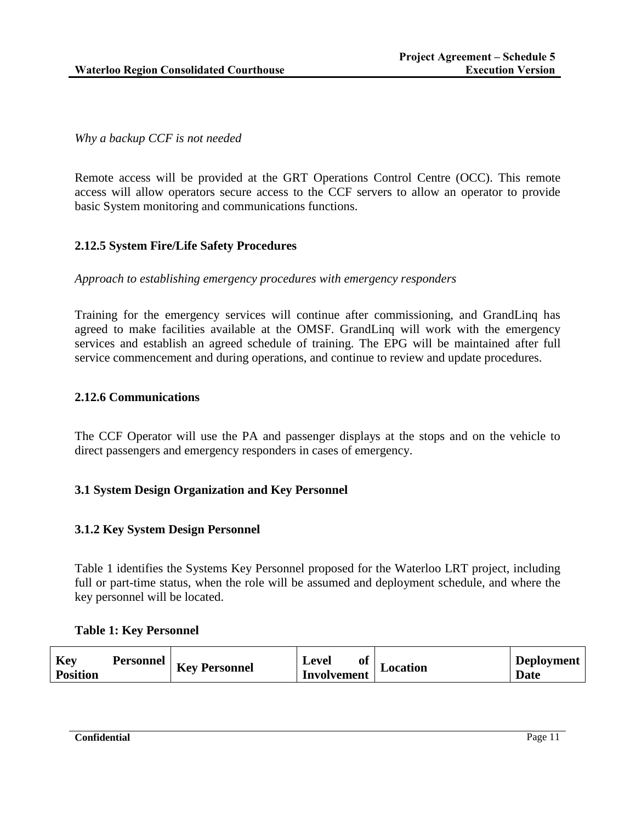*Why a backup CCF is not needed*

Remote access will be provided at the GRT Operations Control Centre (OCC). This remote access will allow operators secure access to the CCF servers to allow an operator to provide basic System monitoring and communications functions.

### **2.12.5 System Fire/Life Safety Procedures**

### *Approach to establishing emergency procedures with emergency responders*

Training for the emergency services will continue after commissioning, and GrandLinq has agreed to make facilities available at the OMSF. GrandLinq will work with the emergency services and establish an agreed schedule of training. The EPG will be maintained after full service commencement and during operations, and continue to review and update procedures.

#### **2.12.6 Communications**

The CCF Operator will use the PA and passenger displays at the stops and on the vehicle to direct passengers and emergency responders in cases of emergency.

### **3.1 System Design Organization and Key Personnel**

### **3.1.2 Key System Design Personnel**

[Table 1](#page-11-0) identifies the Systems Key Personnel proposed for the Waterloo LRT project, including full or part-time status, when the role will be assumed and deployment schedule, and where the key personnel will be located.

#### <span id="page-11-0"></span>**Table 1: Key Personnel**

| Key<br>Personnel<br>T<br><b>Key Personnel</b><br><b>Position</b> | Level<br>оt<br>Location<br><b>Involvement</b> | <b>Deployment</b><br>Date |
|------------------------------------------------------------------|-----------------------------------------------|---------------------------|
|------------------------------------------------------------------|-----------------------------------------------|---------------------------|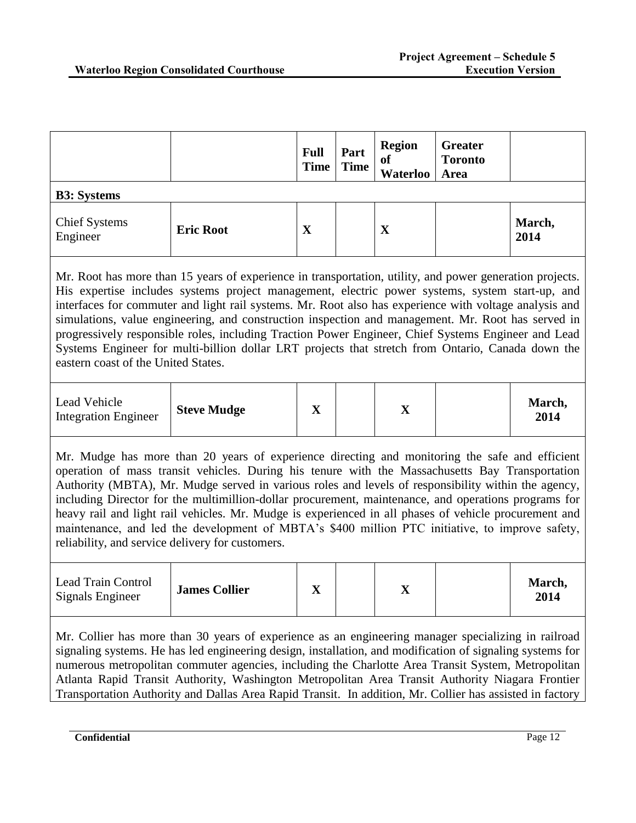|                                                                                                                                                                                                                                                                                                                                                                                                                                                                                                                                                                                                                                                                                  |                      | <b>Full</b><br><b>Time</b> | Part<br><b>Time</b> | <b>Region</b><br><sub>of</sub><br><b>Waterloo</b> | <b>Greater</b><br><b>Toronto</b><br>Area |                |
|----------------------------------------------------------------------------------------------------------------------------------------------------------------------------------------------------------------------------------------------------------------------------------------------------------------------------------------------------------------------------------------------------------------------------------------------------------------------------------------------------------------------------------------------------------------------------------------------------------------------------------------------------------------------------------|----------------------|----------------------------|---------------------|---------------------------------------------------|------------------------------------------|----------------|
| <b>B3: Systems</b>                                                                                                                                                                                                                                                                                                                                                                                                                                                                                                                                                                                                                                                               |                      |                            |                     |                                                   |                                          |                |
| <b>Chief Systems</b><br>Engineer                                                                                                                                                                                                                                                                                                                                                                                                                                                                                                                                                                                                                                                 | <b>Eric Root</b>     | $\mathbf X$                |                     | $\mathbf X$                                       |                                          | March,<br>2014 |
| Mr. Root has more than 15 years of experience in transportation, utility, and power generation projects.<br>His expertise includes systems project management, electric power systems, system start-up, and<br>interfaces for commuter and light rail systems. Mr. Root also has experience with voltage analysis and<br>simulations, value engineering, and construction inspection and management. Mr. Root has served in<br>progressively responsible roles, including Traction Power Engineer, Chief Systems Engineer and Lead<br>Systems Engineer for multi-billion dollar LRT projects that stretch from Ontario, Canada down the<br>eastern coast of the United States.   |                      |                            |                     |                                                   |                                          |                |
| Lead Vehicle<br><b>Integration Engineer</b>                                                                                                                                                                                                                                                                                                                                                                                                                                                                                                                                                                                                                                      | <b>Steve Mudge</b>   | $\mathbf{X}$               |                     | $\mathbf X$                                       |                                          | March,<br>2014 |
| Mr. Mudge has more than 20 years of experience directing and monitoring the safe and efficient<br>operation of mass transit vehicles. During his tenure with the Massachusetts Bay Transportation<br>Authority (MBTA), Mr. Mudge served in various roles and levels of responsibility within the agency,<br>including Director for the multimillion-dollar procurement, maintenance, and operations programs for<br>heavy rail and light rail vehicles. Mr. Mudge is experienced in all phases of vehicle procurement and<br>maintenance, and led the development of MBTA's \$400 million PTC initiative, to improve safety,<br>reliability, and service delivery for customers. |                      |                            |                     |                                                   |                                          |                |
| Lead Train Control<br>Signals Engineer                                                                                                                                                                                                                                                                                                                                                                                                                                                                                                                                                                                                                                           | <b>James Collier</b> | $\mathbf{X}$               |                     | $\mathbf X$                                       |                                          | March,<br>2014 |
| Mr. Collier has more than 30 years of experience as an engineering manager specializing in railroad<br>signaling systems. He has led engineering design, installation, and modification of signaling systems for<br>numerous metropolitan commuter agencies, including the Charlotte Area Transit System, Metropolitan                                                                                                                                                                                                                                                                                                                                                           |                      |                            |                     |                                                   |                                          |                |

numerous metropolitan commuter agencies, including the Charlotte Area Transit System, Metropolitan Atlanta Rapid Transit Authority, Washington Metropolitan Area Transit Authority Niagara Frontier Transportation Authority and Dallas Area Rapid Transit. In addition, Mr. Collier has assisted in factory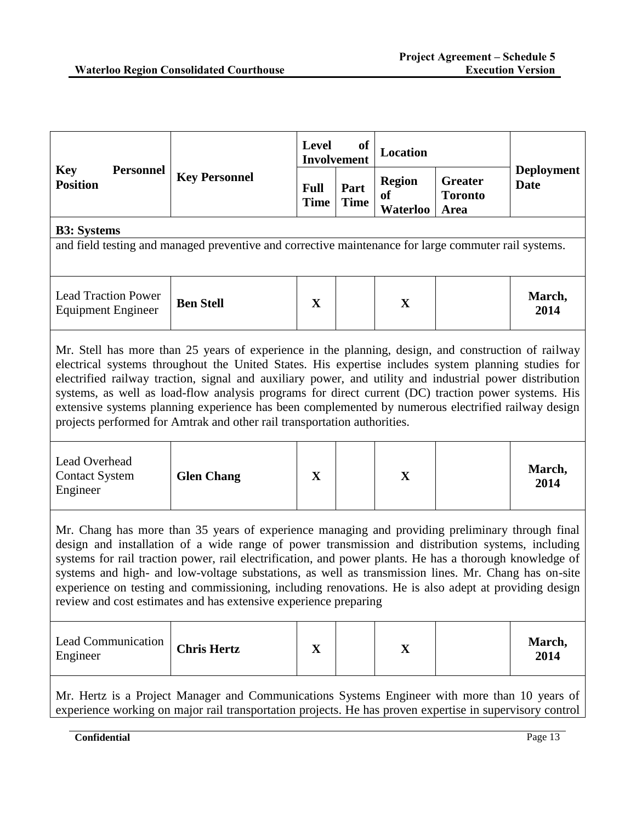|                                                                                                                                                                                                                                                                                                                                                                                                                                                                                                                                                                                                                |                                                                                                      | Level                      | <b>of</b><br><b>Involvement</b> | Location                                          |                                          |                                  |
|----------------------------------------------------------------------------------------------------------------------------------------------------------------------------------------------------------------------------------------------------------------------------------------------------------------------------------------------------------------------------------------------------------------------------------------------------------------------------------------------------------------------------------------------------------------------------------------------------------------|------------------------------------------------------------------------------------------------------|----------------------------|---------------------------------|---------------------------------------------------|------------------------------------------|----------------------------------|
| <b>Key</b><br><b>Personnel</b><br><b>Position</b>                                                                                                                                                                                                                                                                                                                                                                                                                                                                                                                                                              | <b>Key Personnel</b>                                                                                 | <b>Full</b><br><b>Time</b> | Part<br><b>Time</b>             | <b>Region</b><br><sub>of</sub><br><b>Waterloo</b> | <b>Greater</b><br><b>Toronto</b><br>Area | <b>Deployment</b><br><b>Date</b> |
| <b>B3:</b> Systems                                                                                                                                                                                                                                                                                                                                                                                                                                                                                                                                                                                             |                                                                                                      |                            |                                 |                                                   |                                          |                                  |
|                                                                                                                                                                                                                                                                                                                                                                                                                                                                                                                                                                                                                | and field testing and managed preventive and corrective maintenance for large commuter rail systems. |                            |                                 |                                                   |                                          |                                  |
| <b>Lead Traction Power</b><br><b>Equipment Engineer</b>                                                                                                                                                                                                                                                                                                                                                                                                                                                                                                                                                        | <b>Ben Stell</b>                                                                                     | $\mathbf X$                |                                 | X                                                 |                                          | March,<br>2014                   |
| Mr. Stell has more than 25 years of experience in the planning, design, and construction of railway<br>electrical systems throughout the United States. His expertise includes system planning studies for<br>electrified railway traction, signal and auxiliary power, and utility and industrial power distribution<br>systems, as well as load-flow analysis programs for direct current (DC) traction power systems. His<br>extensive systems planning experience has been complemented by numerous electrified railway design<br>projects performed for Amtrak and other rail transportation authorities. |                                                                                                      |                            |                                 |                                                   |                                          |                                  |
| Lead Overhead<br><b>Contact System</b><br>Engineer                                                                                                                                                                                                                                                                                                                                                                                                                                                                                                                                                             | <b>Glen Chang</b>                                                                                    | $\mathbf{X}$               |                                 | $\mathbf X$                                       |                                          | March,<br>2014                   |
| Mr. Chang has more than 35 years of experience managing and providing preliminary through final<br>design and installation of a wide range of power transmission and distribution systems, including<br>systems for rail traction power, rail electrification, and power plants. He has a thorough knowledge of<br>systems and high- and low-voltage substations, as well as transmission lines. Mr. Chang has on-site<br>experience on testing and commissioning, including renovations. He is also adept at providing design<br>review and cost estimates and has extensive experience preparing             |                                                                                                      |                            |                                 |                                                   |                                          |                                  |
| Lead Communication<br>Engineer                                                                                                                                                                                                                                                                                                                                                                                                                                                                                                                                                                                 | <b>Chris Hertz</b>                                                                                   | X                          |                                 | X                                                 |                                          | March,<br>2014                   |
| Mr. Hertz is a Project Manager and Communications Systems Engineer with more than 10 years of<br>experience working on major rail transportation projects. He has proven expertise in supervisory control                                                                                                                                                                                                                                                                                                                                                                                                      |                                                                                                      |                            |                                 |                                                   |                                          |                                  |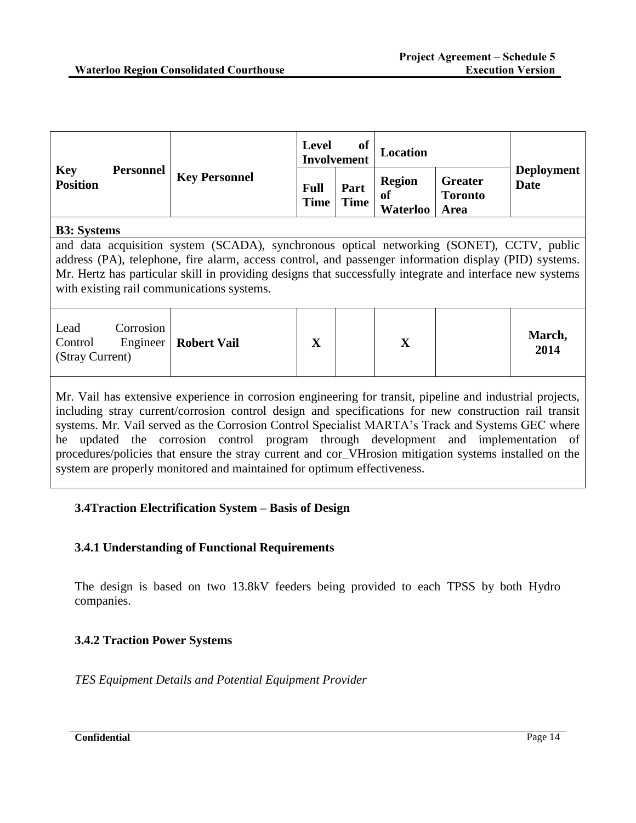|                                                                                                                                                                                                                                                                                                                                                               |                                          | <b>Level</b>               | of<br><b>Location</b><br><b>Involvement</b> |                                 |                                          |                           |
|---------------------------------------------------------------------------------------------------------------------------------------------------------------------------------------------------------------------------------------------------------------------------------------------------------------------------------------------------------------|------------------------------------------|----------------------------|---------------------------------------------|---------------------------------|------------------------------------------|---------------------------|
| <b>Key</b><br><b>Position</b>                                                                                                                                                                                                                                                                                                                                 | <b>Personnel</b><br><b>Key Personnel</b> | <b>Full</b><br><b>Time</b> | Part<br><b>Time</b>                         | <b>Region</b><br>of<br>Waterloo | <b>Greater</b><br><b>Toronto</b><br>Area | <b>Deployment</b><br>Date |
| <b>B3</b> : Systems                                                                                                                                                                                                                                                                                                                                           |                                          |                            |                                             |                                 |                                          |                           |
| and data acquisition system (SCADA), synchronous optical networking (SONET), CCTV, public<br>address (PA), telephone, fire alarm, access control, and passenger information display (PID) systems.<br>Mr. Hertz has particular skill in providing designs that successfully integrate and interface new systems<br>with existing rail communications systems. |                                          |                            |                                             |                                 |                                          |                           |
| Corrosion<br>Lead<br>Control<br>Engineer<br>(Stray Current)                                                                                                                                                                                                                                                                                                   | <b>Robert Vail</b>                       | $\mathbf{X}$               |                                             | $\mathbf{X}$                    |                                          | March,<br>2014            |
|                                                                                                                                                                                                                                                                                                                                                               |                                          |                            |                                             |                                 |                                          |                           |

Mr. Vail has extensive experience in corrosion engineering for transit, pipeline and industrial projects, including stray current/corrosion control design and specifications for new construction rail transit systems. Mr. Vail served as the Corrosion Control Specialist MARTA's Track and Systems GEC where he updated the corrosion control program through development and implementation of procedures/policies that ensure the stray current and cor\_VHrosion mitigation systems installed on the system are properly monitored and maintained for optimum effectiveness.

# **3.4Traction Electrification System – Basis of Design**

### **3.4.1 Understanding of Functional Requirements**

The design is based on two 13.8kV feeders being provided to each TPSS by both Hydro companies.

### **3.4.2 Traction Power Systems**

*TES Equipment Details and Potential Equipment Provider*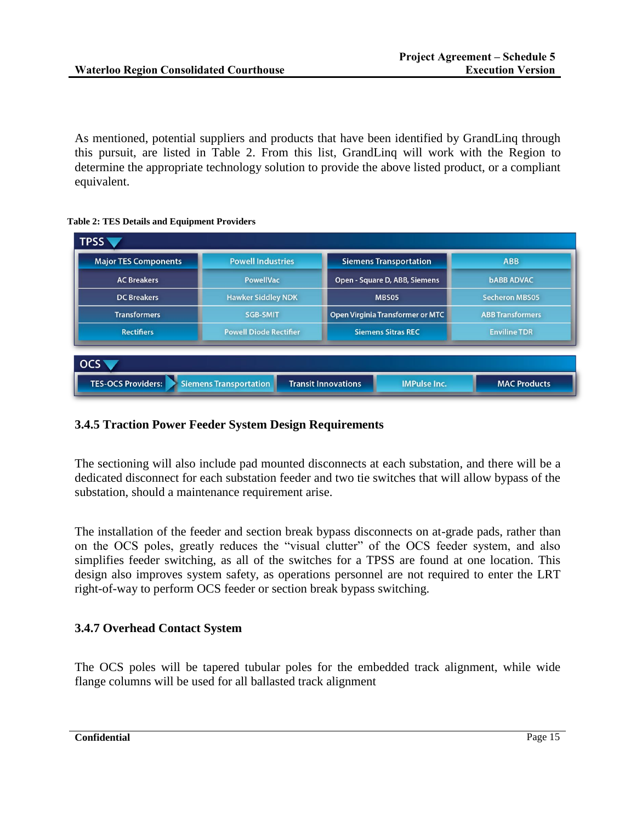As mentioned, potential suppliers and products that have been identified by GrandLinq through this pursuit, are listed in Table 2. From this list, GrandLinq will work with the Region to determine the appropriate technology solution to provide the above listed product, or a compliant equivalent.

**Table 2: TES Details and Equipment Providers**

| <b>Major TES Components</b> | <b>Powell Industries</b>                                   | <b>Siemens Transportation</b>           | <b>ABB</b>              |  |
|-----------------------------|------------------------------------------------------------|-----------------------------------------|-------------------------|--|
| <b>AC Breakers</b>          | <b>PowellVac</b>                                           | Open - Square D, ABB, Siemens           |                         |  |
| <b>DC</b> Breakers          | <b>Hawker Siddley NDK</b><br>MBS05                         |                                         | <b>Secheron MBS05</b>   |  |
| <b>Transformers</b>         | <b>SGB-SMIT</b>                                            | <b>Open Virginia Transformer or MTC</b> | <b>ABB Transformers</b> |  |
| <b>Rectifiers</b>           | <b>Powell Diode Rectifier</b><br><b>Siemens Sitras REC</b> |                                         | <b>Enviline TDR</b>     |  |
| <b>OCS</b>                  |                                                            |                                         |                         |  |

# **3.4.5 Traction Power Feeder System Design Requirements**

The sectioning will also include pad mounted disconnects at each substation, and there will be a dedicated disconnect for each substation feeder and two tie switches that will allow bypass of the substation, should a maintenance requirement arise.

The installation of the feeder and section break bypass disconnects on at-grade pads, rather than on the OCS poles, greatly reduces the "visual clutter" of the OCS feeder system, and also simplifies feeder switching, as all of the switches for a TPSS are found at one location. This design also improves system safety, as operations personnel are not required to enter the LRT right-of-way to perform OCS feeder or section break bypass switching.

# **3.4.7 Overhead Contact System**

The OCS poles will be tapered tubular poles for the embedded track alignment, while wide flange columns will be used for all ballasted track alignment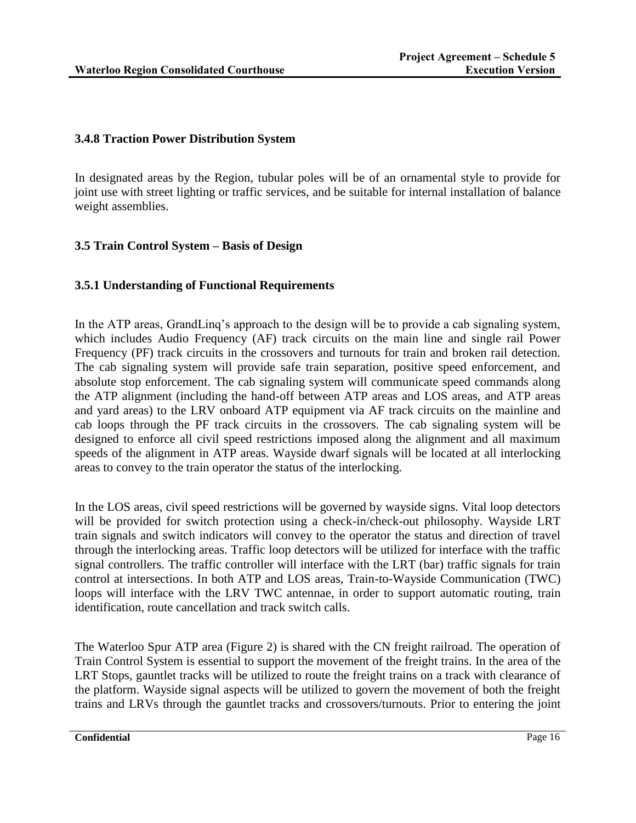## **3.4.8 Traction Power Distribution System**

In designated areas by the Region, tubular poles will be of an ornamental style to provide for joint use with street lighting or traffic services, and be suitable for internal installation of balance weight assemblies.

# **3.5 Train Control System – Basis of Design**

## **3.5.1 Understanding of Functional Requirements**

In the ATP areas, GrandLinq's approach to the design will be to provide a cab signaling system, which includes Audio Frequency (AF) track circuits on the main line and single rail Power Frequency (PF) track circuits in the crossovers and turnouts for train and broken rail detection. The cab signaling system will provide safe train separation, positive speed enforcement, and absolute stop enforcement. The cab signaling system will communicate speed commands along the ATP alignment (including the hand-off between ATP areas and LOS areas, and ATP areas and yard areas) to the LRV onboard ATP equipment via AF track circuits on the mainline and cab loops through the PF track circuits in the crossovers. The cab signaling system will be designed to enforce all civil speed restrictions imposed along the alignment and all maximum speeds of the alignment in ATP areas. Wayside dwarf signals will be located at all interlocking areas to convey to the train operator the status of the interlocking.

In the LOS areas, civil speed restrictions will be governed by wayside signs. Vital loop detectors will be provided for switch protection using a check-in/check-out philosophy. Wayside LRT train signals and switch indicators will convey to the operator the status and direction of travel through the interlocking areas. Traffic loop detectors will be utilized for interface with the traffic signal controllers. The traffic controller will interface with the LRT (bar) traffic signals for train control at intersections. In both ATP and LOS areas, Train-to-Wayside Communication (TWC) loops will interface with the LRV TWC antennae, in order to support automatic routing, train identification, route cancellation and track switch calls.

The Waterloo Spur ATP area (Figure 2) is shared with the CN freight railroad. The operation of Train Control System is essential to support the movement of the freight trains. In the area of the LRT Stops, gauntlet tracks will be utilized to route the freight trains on a track with clearance of the platform. Wayside signal aspects will be utilized to govern the movement of both the freight trains and LRVs through the gauntlet tracks and crossovers/turnouts. Prior to entering the joint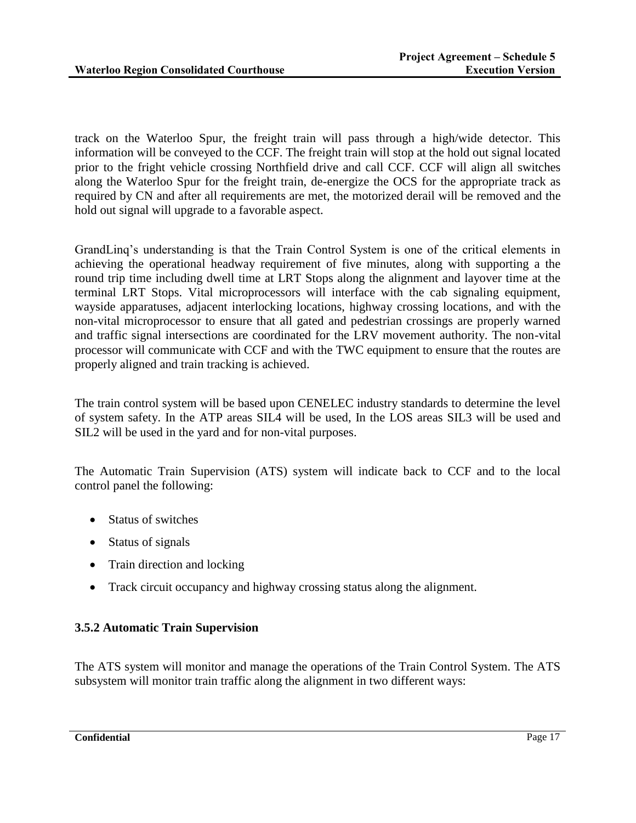track on the Waterloo Spur, the freight train will pass through a high/wide detector. This information will be conveyed to the CCF. The freight train will stop at the hold out signal located prior to the fright vehicle crossing Northfield drive and call CCF. CCF will align all switches along the Waterloo Spur for the freight train, de-energize the OCS for the appropriate track as required by CN and after all requirements are met, the motorized derail will be removed and the hold out signal will upgrade to a favorable aspect.

GrandLinq's understanding is that the Train Control System is one of the critical elements in achieving the operational headway requirement of five minutes, along with supporting a the round trip time including dwell time at LRT Stops along the alignment and layover time at the terminal LRT Stops. Vital microprocessors will interface with the cab signaling equipment, wayside apparatuses, adjacent interlocking locations, highway crossing locations, and with the non-vital microprocessor to ensure that all gated and pedestrian crossings are properly warned and traffic signal intersections are coordinated for the LRV movement authority. The non-vital processor will communicate with CCF and with the TWC equipment to ensure that the routes are properly aligned and train tracking is achieved.

The train control system will be based upon CENELEC industry standards to determine the level of system safety. In the ATP areas SIL4 will be used, In the LOS areas SIL3 will be used and SIL2 will be used in the yard and for non-vital purposes.

The Automatic Train Supervision (ATS) system will indicate back to CCF and to the local control panel the following:

- Status of switches
- Status of signals
- Train direction and locking
- Track circuit occupancy and highway crossing status along the alignment.

# **3.5.2 Automatic Train Supervision**

The ATS system will monitor and manage the operations of the Train Control System. The ATS subsystem will monitor train traffic along the alignment in two different ways: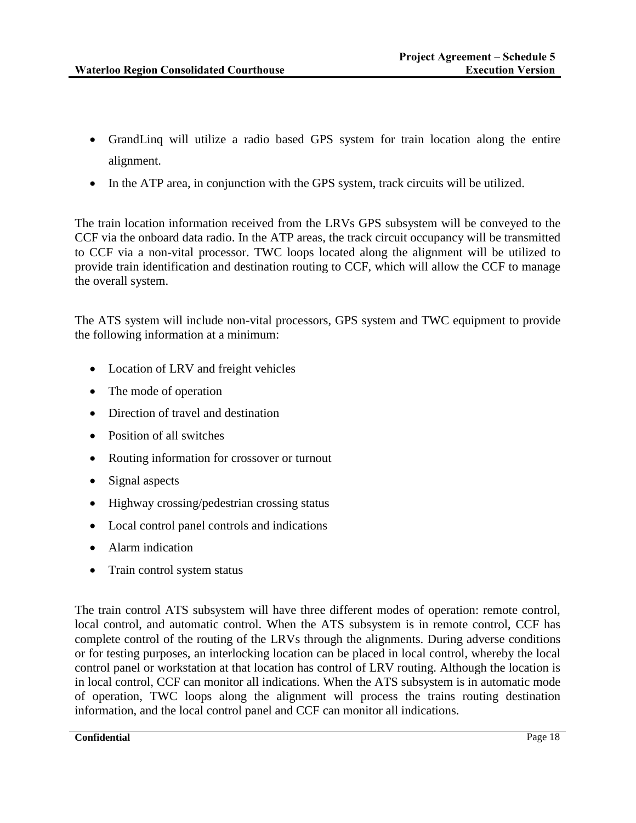- GrandLinq will utilize a radio based GPS system for train location along the entire alignment.
- In the ATP area, in conjunction with the GPS system, track circuits will be utilized.

The train location information received from the LRVs GPS subsystem will be conveyed to the CCF via the onboard data radio. In the ATP areas, the track circuit occupancy will be transmitted to CCF via a non-vital processor. TWC loops located along the alignment will be utilized to provide train identification and destination routing to CCF, which will allow the CCF to manage the overall system.

The ATS system will include non-vital processors, GPS system and TWC equipment to provide the following information at a minimum:

- Location of LRV and freight vehicles
- The mode of operation
- Direction of travel and destination
- Position of all switches
- Routing information for crossover or turnout
- Signal aspects
- Highway crossing/pedestrian crossing status
- Local control panel controls and indications
- Alarm indication
- Train control system status

The train control ATS subsystem will have three different modes of operation: remote control, local control, and automatic control. When the ATS subsystem is in remote control, CCF has complete control of the routing of the LRVs through the alignments. During adverse conditions or for testing purposes, an interlocking location can be placed in local control, whereby the local control panel or workstation at that location has control of LRV routing. Although the location is in local control, CCF can monitor all indications. When the ATS subsystem is in automatic mode of operation, TWC loops along the alignment will process the trains routing destination information, and the local control panel and CCF can monitor all indications.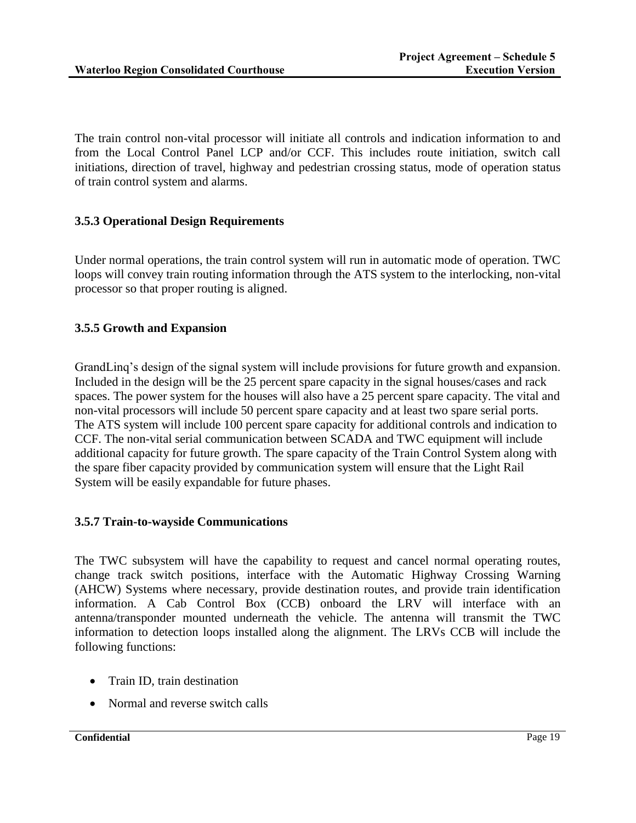The train control non-vital processor will initiate all controls and indication information to and from the Local Control Panel LCP and/or CCF. This includes route initiation, switch call initiations, direction of travel, highway and pedestrian crossing status, mode of operation status of train control system and alarms.

# **3.5.3 Operational Design Requirements**

Under normal operations, the train control system will run in automatic mode of operation. TWC loops will convey train routing information through the ATS system to the interlocking, non-vital processor so that proper routing is aligned.

## **3.5.5 Growth and Expansion**

GrandLinq's design of the signal system will include provisions for future growth and expansion. Included in the design will be the 25 percent spare capacity in the signal houses/cases and rack spaces. The power system for the houses will also have a 25 percent spare capacity. The vital and non-vital processors will include 50 percent spare capacity and at least two spare serial ports. The ATS system will include 100 percent spare capacity for additional controls and indication to CCF. The non-vital serial communication between SCADA and TWC equipment will include additional capacity for future growth. The spare capacity of the Train Control System along with the spare fiber capacity provided by communication system will ensure that the Light Rail System will be easily expandable for future phases.

### **3.5.7 Train-to-wayside Communications**

The TWC subsystem will have the capability to request and cancel normal operating routes, change track switch positions, interface with the Automatic Highway Crossing Warning (AHCW) Systems where necessary, provide destination routes, and provide train identification information. A Cab Control Box (CCB) onboard the LRV will interface with an antenna/transponder mounted underneath the vehicle. The antenna will transmit the TWC information to detection loops installed along the alignment. The LRVs CCB will include the following functions:

- Train ID, train destination
- Normal and reverse switch calls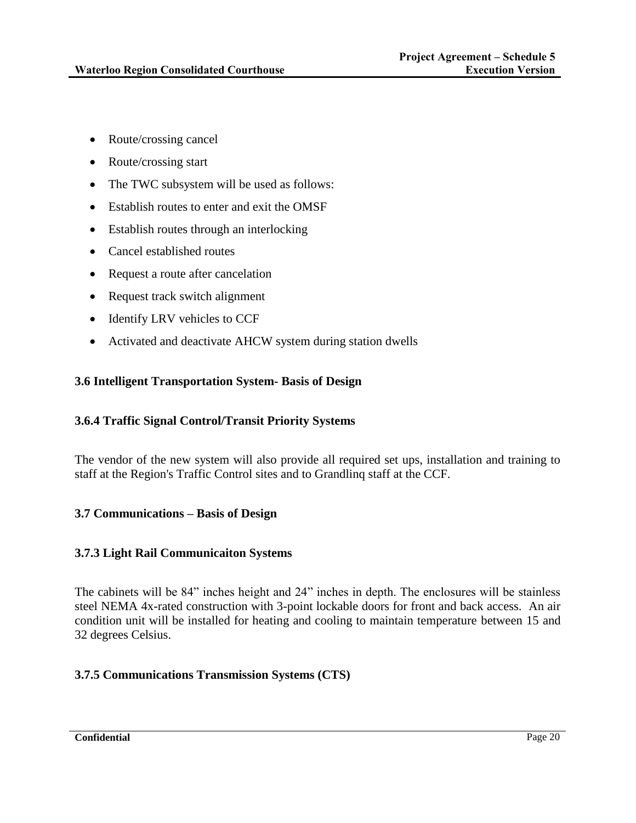- Route/crossing cancel
- Route/crossing start
- The TWC subsystem will be used as follows:
- Establish routes to enter and exit the OMSF
- Establish routes through an interlocking
- Cancel established routes
- Request a route after cancelation
- Request track switch alignment
- Identify LRV vehicles to CCF
- Activated and deactivate AHCW system during station dwells

### **3.6 Intelligent Transportation System- Basis of Design**

### **3.6.4 Traffic Signal Control/Transit Priority Systems**

The vendor of the new system will also provide all required set ups, installation and training to staff at the Region's Traffic Control sites and to Grandlinq staff at the CCF.

### **3.7 Communications – Basis of Design**

#### **3.7.3 Light Rail Communicaiton Systems**

The cabinets will be 84" inches height and 24" inches in depth. The enclosures will be stainless steel NEMA 4x-rated construction with 3-point lockable doors for front and back access. An air condition unit will be installed for heating and cooling to maintain temperature between 15 and 32 degrees Celsius.

### **3.7.5 Communications Transmission Systems (CTS)**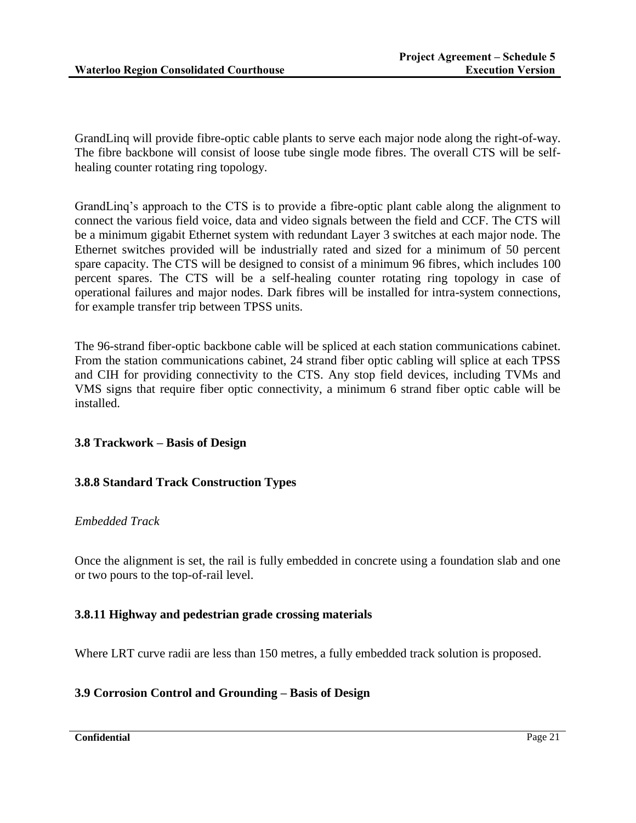GrandLinq will provide fibre-optic cable plants to serve each major node along the right-of-way. The fibre backbone will consist of loose tube single mode fibres. The overall CTS will be selfhealing counter rotating ring topology.

GrandLinq's approach to the CTS is to provide a fibre-optic plant cable along the alignment to connect the various field voice, data and video signals between the field and CCF. The CTS will be a minimum gigabit Ethernet system with redundant Layer 3 switches at each major node. The Ethernet switches provided will be industrially rated and sized for a minimum of 50 percent spare capacity. The CTS will be designed to consist of a minimum 96 fibres, which includes 100 percent spares. The CTS will be a self-healing counter rotating ring topology in case of operational failures and major nodes. Dark fibres will be installed for intra-system connections, for example transfer trip between TPSS units.

The 96-strand fiber-optic backbone cable will be spliced at each station communications cabinet. From the station communications cabinet, 24 strand fiber optic cabling will splice at each TPSS and CIH for providing connectivity to the CTS. Any stop field devices, including TVMs and VMS signs that require fiber optic connectivity, a minimum 6 strand fiber optic cable will be installed.

### **3.8 Trackwork – Basis of Design**

### **3.8.8 Standard Track Construction Types**

### *Embedded Track*

Once the alignment is set, the rail is fully embedded in concrete using a foundation slab and one or two pours to the top-of-rail level.

### **3.8.11 Highway and pedestrian grade crossing materials**

Where LRT curve radii are less than 150 metres, a fully embedded track solution is proposed.

### **3.9 Corrosion Control and Grounding – Basis of Design**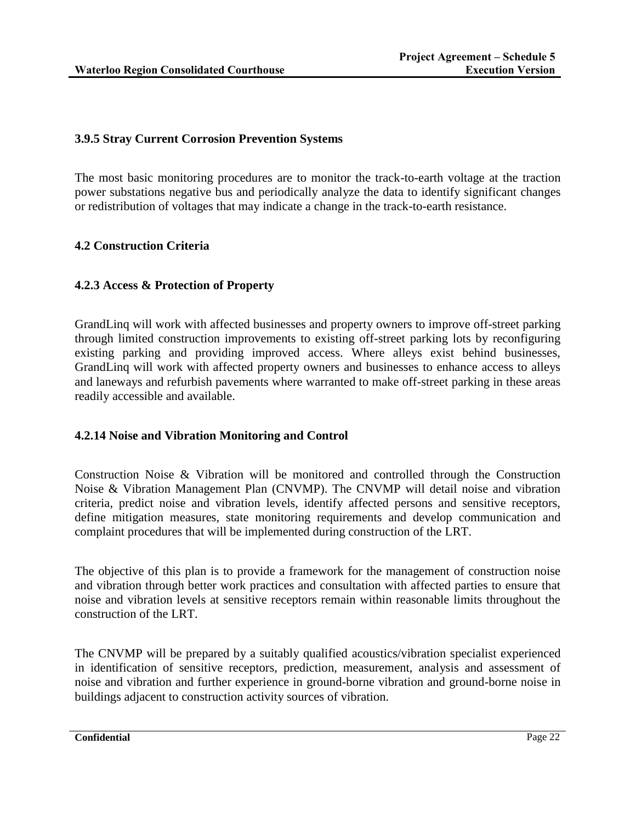# **3.9.5 Stray Current Corrosion Prevention Systems**

The most basic monitoring procedures are to monitor the track-to-earth voltage at the traction power substations negative bus and periodically analyze the data to identify significant changes or redistribution of voltages that may indicate a change in the track-to-earth resistance.

# **4.2 Construction Criteria**

## **4.2.3 Access & Protection of Property**

GrandLinq will work with affected businesses and property owners to improve off-street parking through limited construction improvements to existing off-street parking lots by reconfiguring existing parking and providing improved access. Where alleys exist behind businesses, GrandLinq will work with affected property owners and businesses to enhance access to alleys and laneways and refurbish pavements where warranted to make off-street parking in these areas readily accessible and available.

### **4.2.14 Noise and Vibration Monitoring and Control**

Construction Noise & Vibration will be monitored and controlled through the Construction Noise & Vibration Management Plan (CNVMP). The CNVMP will detail noise and vibration criteria, predict noise and vibration levels, identify affected persons and sensitive receptors, define mitigation measures, state monitoring requirements and develop communication and complaint procedures that will be implemented during construction of the LRT.

The objective of this plan is to provide a framework for the management of construction noise and vibration through better work practices and consultation with affected parties to ensure that noise and vibration levels at sensitive receptors remain within reasonable limits throughout the construction of the LRT.

The CNVMP will be prepared by a suitably qualified acoustics/vibration specialist experienced in identification of sensitive receptors, prediction, measurement, analysis and assessment of noise and vibration and further experience in ground-borne vibration and ground-borne noise in buildings adjacent to construction activity sources of vibration.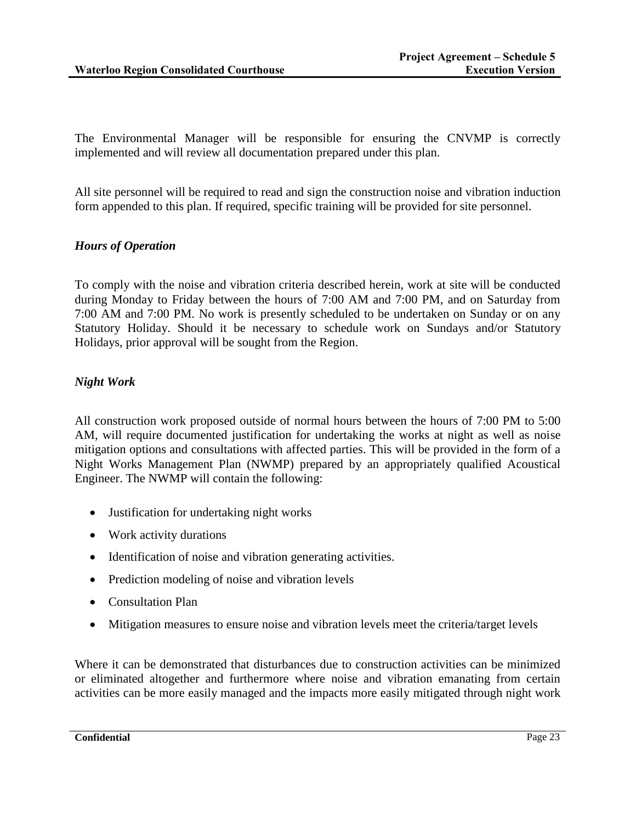The Environmental Manager will be responsible for ensuring the CNVMP is correctly implemented and will review all documentation prepared under this plan.

All site personnel will be required to read and sign the construction noise and vibration induction form appended to this plan. If required, specific training will be provided for site personnel.

## *Hours of Operation*

To comply with the noise and vibration criteria described herein, work at site will be conducted during Monday to Friday between the hours of 7:00 AM and 7:00 PM, and on Saturday from 7:00 AM and 7:00 PM. No work is presently scheduled to be undertaken on Sunday or on any Statutory Holiday. Should it be necessary to schedule work on Sundays and/or Statutory Holidays, prior approval will be sought from the Region.

# *Night Work*

All construction work proposed outside of normal hours between the hours of 7:00 PM to 5:00 AM, will require documented justification for undertaking the works at night as well as noise mitigation options and consultations with affected parties. This will be provided in the form of a Night Works Management Plan (NWMP) prepared by an appropriately qualified Acoustical Engineer. The NWMP will contain the following:

- Justification for undertaking night works
- Work activity durations
- Identification of noise and vibration generating activities.
- Prediction modeling of noise and vibration levels
- Consultation Plan
- Mitigation measures to ensure noise and vibration levels meet the criteria/target levels

Where it can be demonstrated that disturbances due to construction activities can be minimized or eliminated altogether and furthermore where noise and vibration emanating from certain activities can be more easily managed and the impacts more easily mitigated through night work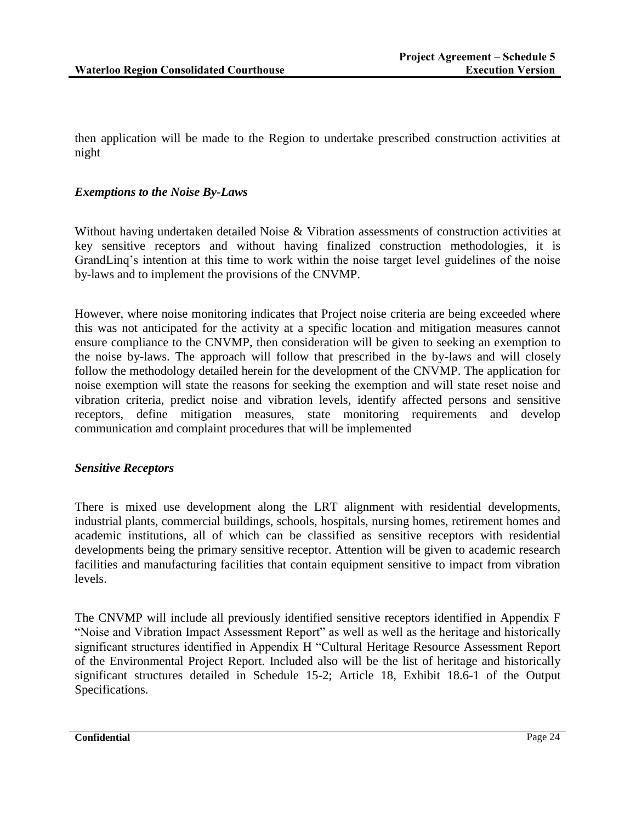then application will be made to the Region to undertake prescribed construction activities at night

## *Exemptions to the Noise By-Laws*

Without having undertaken detailed Noise & Vibration assessments of construction activities at key sensitive receptors and without having finalized construction methodologies, it is GrandLinq's intention at this time to work within the noise target level guidelines of the noise by-laws and to implement the provisions of the CNVMP.

However, where noise monitoring indicates that Project noise criteria are being exceeded where this was not anticipated for the activity at a specific location and mitigation measures cannot ensure compliance to the CNVMP, then consideration will be given to seeking an exemption to the noise by-laws. The approach will follow that prescribed in the by-laws and will closely follow the methodology detailed herein for the development of the CNVMP. The application for noise exemption will state the reasons for seeking the exemption and will state reset noise and vibration criteria, predict noise and vibration levels, identify affected persons and sensitive receptors, define mitigation measures, state monitoring requirements and develop communication and complaint procedures that will be implemented

### *Sensitive Receptors*

There is mixed use development along the LRT alignment with residential developments, industrial plants, commercial buildings, schools, hospitals, nursing homes, retirement homes and academic institutions, all of which can be classified as sensitive receptors with residential developments being the primary sensitive receptor. Attention will be given to academic research facilities and manufacturing facilities that contain equipment sensitive to impact from vibration levels.

The CNVMP will include all previously identified sensitive receptors identified in Appendix F "Noise and Vibration Impact Assessment Report" as well as well as the heritage and historically significant structures identified in Appendix H "Cultural Heritage Resource Assessment Report of the Environmental Project Report. Included also will be the list of heritage and historically significant structures detailed in Schedule 15-2; Article 18, Exhibit 18.6-1 of the Output Specifications.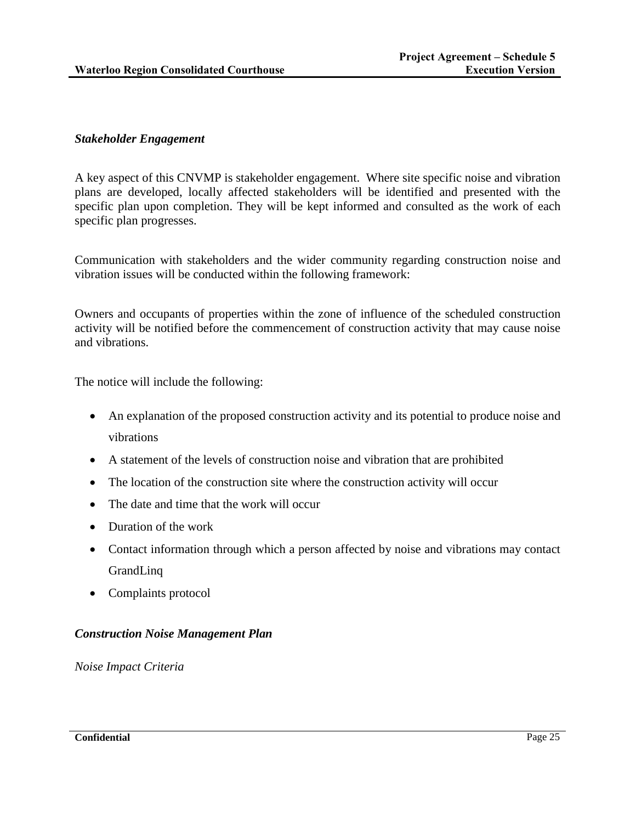## *Stakeholder Engagement*

A key aspect of this CNVMP is stakeholder engagement. Where site specific noise and vibration plans are developed, locally affected stakeholders will be identified and presented with the specific plan upon completion. They will be kept informed and consulted as the work of each specific plan progresses.

Communication with stakeholders and the wider community regarding construction noise and vibration issues will be conducted within the following framework:

Owners and occupants of properties within the zone of influence of the scheduled construction activity will be notified before the commencement of construction activity that may cause noise and vibrations.

The notice will include the following:

- An explanation of the proposed construction activity and its potential to produce noise and vibrations
- A statement of the levels of construction noise and vibration that are prohibited
- The location of the construction site where the construction activity will occur
- The date and time that the work will occur
- Duration of the work
- Contact information through which a person affected by noise and vibrations may contact GrandLinq
- Complaints protocol

# *Construction Noise Management Plan*

*Noise Impact Criteria*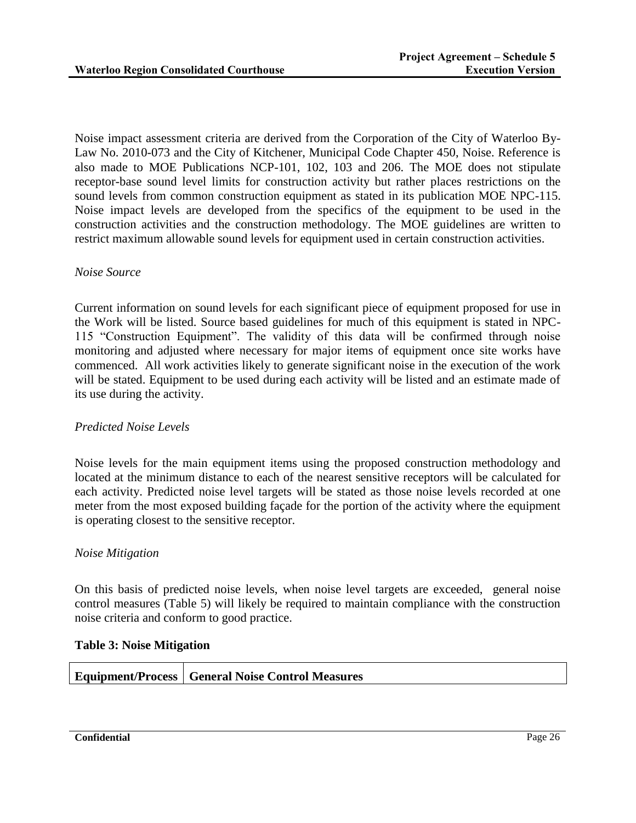Noise impact assessment criteria are derived from the Corporation of the City of Waterloo By-Law No. 2010-073 and the City of Kitchener, Municipal Code Chapter 450, Noise. Reference is also made to MOE Publications NCP-101, 102, 103 and 206. The MOE does not stipulate receptor-base sound level limits for construction activity but rather places restrictions on the sound levels from common construction equipment as stated in its publication MOE NPC-115. Noise impact levels are developed from the specifics of the equipment to be used in the construction activities and the construction methodology. The MOE guidelines are written to restrict maximum allowable sound levels for equipment used in certain construction activities.

### *Noise Source*

Current information on sound levels for each significant piece of equipment proposed for use in the Work will be listed. Source based guidelines for much of this equipment is stated in NPC-115 "Construction Equipment". The validity of this data will be confirmed through noise monitoring and adjusted where necessary for major items of equipment once site works have commenced. All work activities likely to generate significant noise in the execution of the work will be stated. Equipment to be used during each activity will be listed and an estimate made of its use during the activity.

### *Predicted Noise Levels*

Noise levels for the main equipment items using the proposed construction methodology and located at the minimum distance to each of the nearest sensitive receptors will be calculated for each activity. Predicted noise level targets will be stated as those noise levels recorded at one meter from the most exposed building façade for the portion of the activity where the equipment is operating closest to the sensitive receptor.

#### *Noise Mitigation*

On this basis of predicted noise levels, when noise level targets are exceeded, general noise control measures (Table 5) will likely be required to maintain compliance with the construction noise criteria and conform to good practice.

#### **Table 3: Noise Mitigation**

|  | <b>Equipment/Process   General Noise Control Measures</b> |
|--|-----------------------------------------------------------|
|--|-----------------------------------------------------------|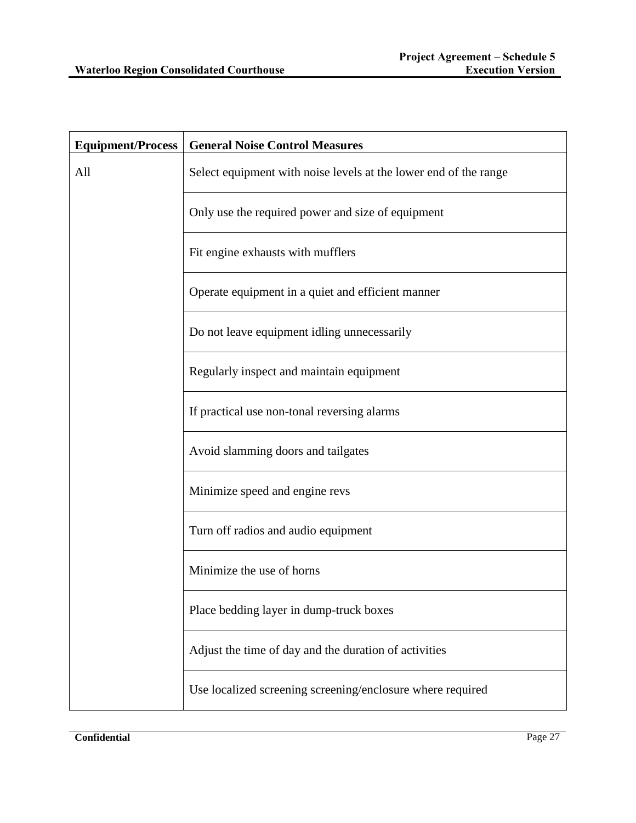| <b>Equipment/Process</b> | <b>General Noise Control Measures</b>                            |
|--------------------------|------------------------------------------------------------------|
| All                      | Select equipment with noise levels at the lower end of the range |
|                          | Only use the required power and size of equipment                |
|                          | Fit engine exhausts with mufflers                                |
|                          | Operate equipment in a quiet and efficient manner                |
|                          | Do not leave equipment idling unnecessarily                      |
|                          | Regularly inspect and maintain equipment                         |
|                          | If practical use non-tonal reversing alarms                      |
|                          | Avoid slamming doors and tailgates                               |
|                          | Minimize speed and engine revs                                   |
|                          | Turn off radios and audio equipment                              |
|                          | Minimize the use of horns                                        |
|                          | Place bedding layer in dump-truck boxes                          |
|                          | Adjust the time of day and the duration of activities            |
|                          | Use localized screening screening/enclosure where required       |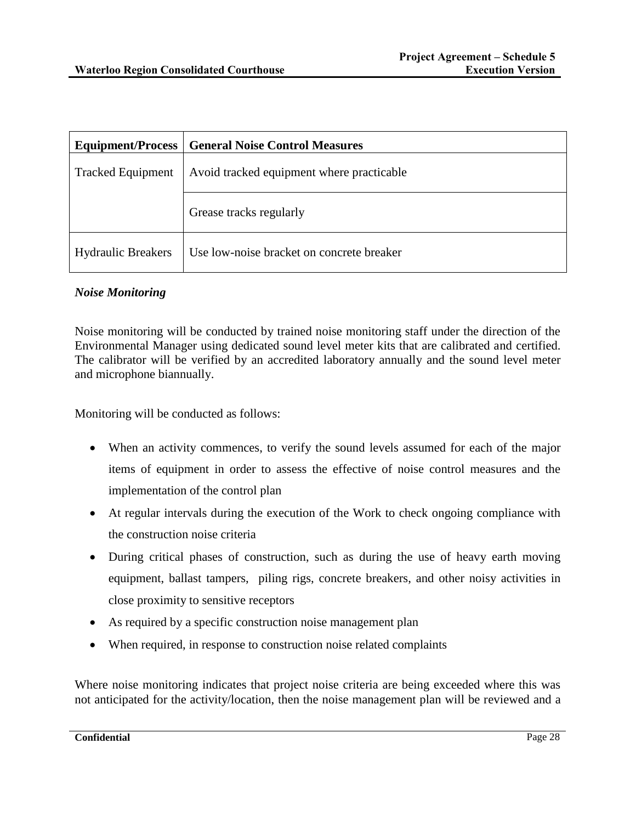|                           | <b>Equipment/Process   General Noise Control Measures</b> |
|---------------------------|-----------------------------------------------------------|
| <b>Tracked Equipment</b>  | Avoid tracked equipment where practicable                 |
|                           | Grease tracks regularly                                   |
| <b>Hydraulic Breakers</b> | Use low-noise bracket on concrete breaker                 |

## *Noise Monitoring*

Noise monitoring will be conducted by trained noise monitoring staff under the direction of the Environmental Manager using dedicated sound level meter kits that are calibrated and certified. The calibrator will be verified by an accredited laboratory annually and the sound level meter and microphone biannually.

Monitoring will be conducted as follows:

- When an activity commences, to verify the sound levels assumed for each of the major items of equipment in order to assess the effective of noise control measures and the implementation of the control plan
- At regular intervals during the execution of the Work to check ongoing compliance with the construction noise criteria
- During critical phases of construction, such as during the use of heavy earth moving equipment, ballast tampers, piling rigs, concrete breakers, and other noisy activities in close proximity to sensitive receptors
- As required by a specific construction noise management plan
- When required, in response to construction noise related complaints

Where noise monitoring indicates that project noise criteria are being exceeded where this was not anticipated for the activity/location, then the noise management plan will be reviewed and a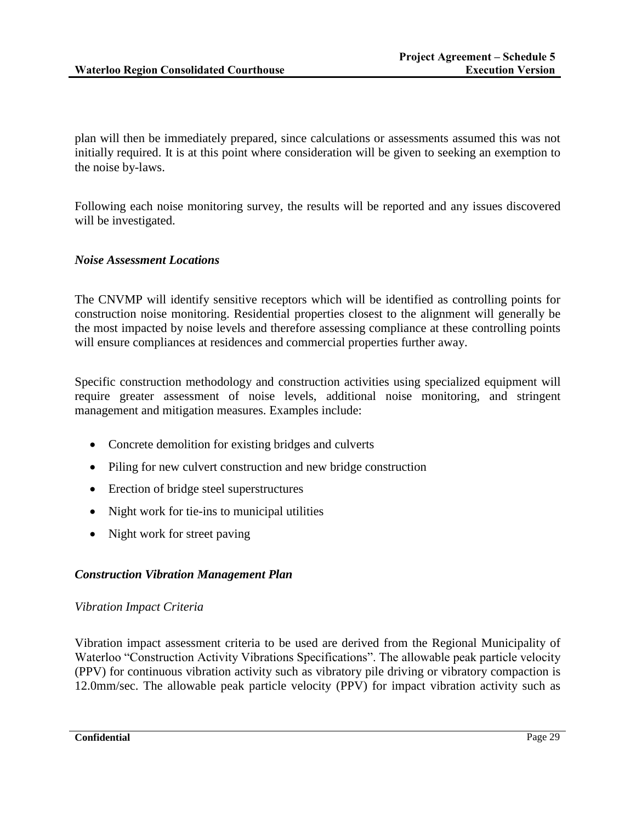plan will then be immediately prepared, since calculations or assessments assumed this was not initially required. It is at this point where consideration will be given to seeking an exemption to the noise by-laws.

Following each noise monitoring survey, the results will be reported and any issues discovered will be investigated.

### *Noise Assessment Locations*

The CNVMP will identify sensitive receptors which will be identified as controlling points for construction noise monitoring. Residential properties closest to the alignment will generally be the most impacted by noise levels and therefore assessing compliance at these controlling points will ensure compliances at residences and commercial properties further away.

Specific construction methodology and construction activities using specialized equipment will require greater assessment of noise levels, additional noise monitoring, and stringent management and mitigation measures. Examples include:

- Concrete demolition for existing bridges and culverts
- Piling for new culvert construction and new bridge construction
- Erection of bridge steel superstructures
- Night work for tie-ins to municipal utilities
- Night work for street paving

### *Construction Vibration Management Plan*

### *Vibration Impact Criteria*

Vibration impact assessment criteria to be used are derived from the Regional Municipality of Waterloo "Construction Activity Vibrations Specifications". The allowable peak particle velocity (PPV) for continuous vibration activity such as vibratory pile driving or vibratory compaction is 12.0mm/sec. The allowable peak particle velocity (PPV) for impact vibration activity such as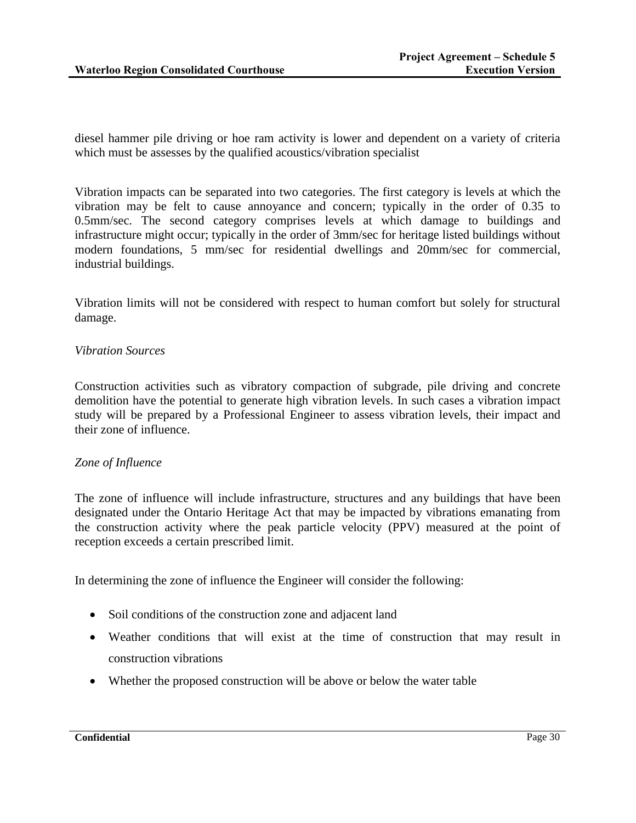diesel hammer pile driving or hoe ram activity is lower and dependent on a variety of criteria which must be assesses by the qualified acoustics/vibration specialist

Vibration impacts can be separated into two categories. The first category is levels at which the vibration may be felt to cause annoyance and concern; typically in the order of 0.35 to 0.5mm/sec. The second category comprises levels at which damage to buildings and infrastructure might occur; typically in the order of 3mm/sec for heritage listed buildings without modern foundations, 5 mm/sec for residential dwellings and 20mm/sec for commercial, industrial buildings.

Vibration limits will not be considered with respect to human comfort but solely for structural damage.

### *Vibration Sources*

Construction activities such as vibratory compaction of subgrade, pile driving and concrete demolition have the potential to generate high vibration levels. In such cases a vibration impact study will be prepared by a Professional Engineer to assess vibration levels, their impact and their zone of influence.

### *Zone of Influence*

The zone of influence will include infrastructure, structures and any buildings that have been designated under the Ontario Heritage Act that may be impacted by vibrations emanating from the construction activity where the peak particle velocity (PPV) measured at the point of reception exceeds a certain prescribed limit.

In determining the zone of influence the Engineer will consider the following:

- Soil conditions of the construction zone and adjacent land
- Weather conditions that will exist at the time of construction that may result in construction vibrations
- Whether the proposed construction will be above or below the water table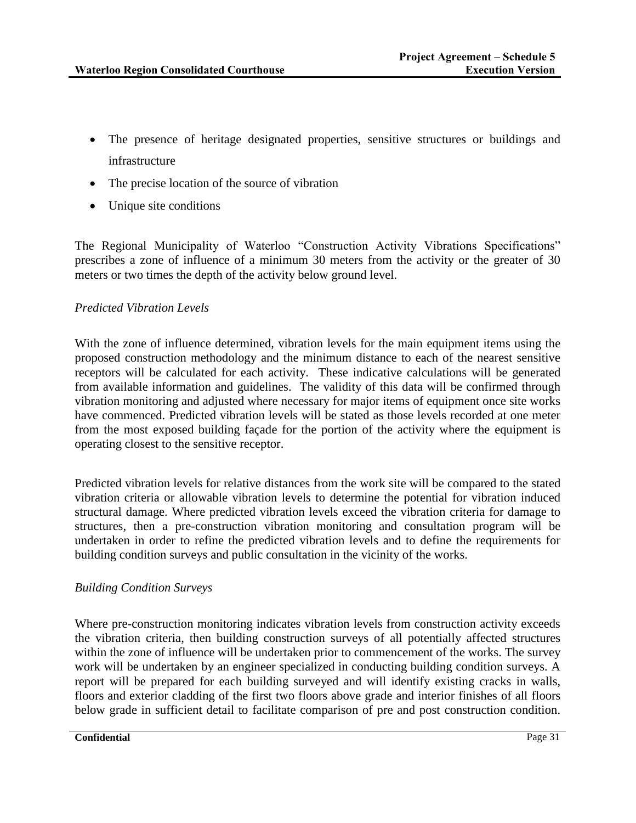- The presence of heritage designated properties, sensitive structures or buildings and infrastructure
- The precise location of the source of vibration
- Unique site conditions

The Regional Municipality of Waterloo "Construction Activity Vibrations Specifications" prescribes a zone of influence of a minimum 30 meters from the activity or the greater of 30 meters or two times the depth of the activity below ground level.

## *Predicted Vibration Levels*

With the zone of influence determined, vibration levels for the main equipment items using the proposed construction methodology and the minimum distance to each of the nearest sensitive receptors will be calculated for each activity. These indicative calculations will be generated from available information and guidelines. The validity of this data will be confirmed through vibration monitoring and adjusted where necessary for major items of equipment once site works have commenced. Predicted vibration levels will be stated as those levels recorded at one meter from the most exposed building façade for the portion of the activity where the equipment is operating closest to the sensitive receptor.

Predicted vibration levels for relative distances from the work site will be compared to the stated vibration criteria or allowable vibration levels to determine the potential for vibration induced structural damage. Where predicted vibration levels exceed the vibration criteria for damage to structures, then a pre-construction vibration monitoring and consultation program will be undertaken in order to refine the predicted vibration levels and to define the requirements for building condition surveys and public consultation in the vicinity of the works.

### *Building Condition Surveys*

Where pre-construction monitoring indicates vibration levels from construction activity exceeds the vibration criteria, then building construction surveys of all potentially affected structures within the zone of influence will be undertaken prior to commencement of the works. The survey work will be undertaken by an engineer specialized in conducting building condition surveys. A report will be prepared for each building surveyed and will identify existing cracks in walls, floors and exterior cladding of the first two floors above grade and interior finishes of all floors below grade in sufficient detail to facilitate comparison of pre and post construction condition.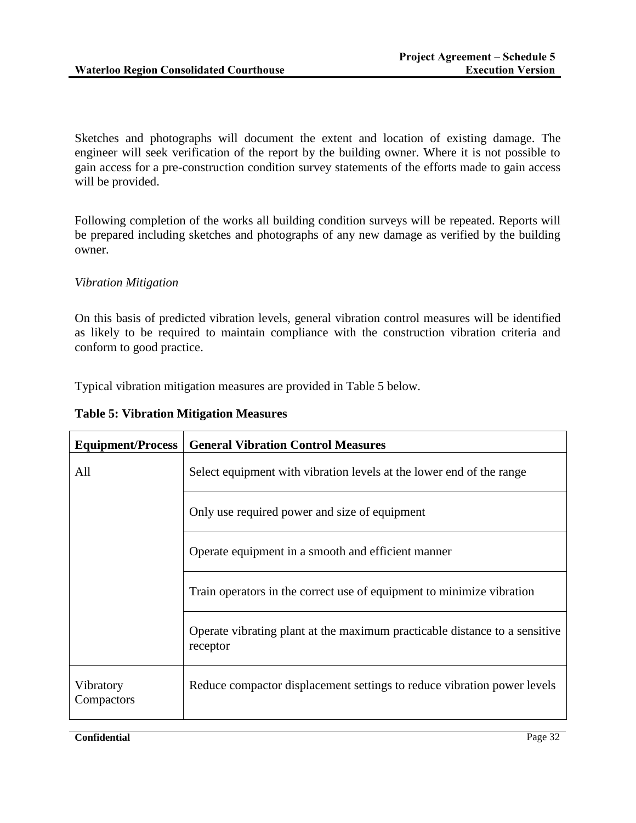Sketches and photographs will document the extent and location of existing damage. The engineer will seek verification of the report by the building owner. Where it is not possible to gain access for a pre-construction condition survey statements of the efforts made to gain access will be provided.

Following completion of the works all building condition surveys will be repeated. Reports will be prepared including sketches and photographs of any new damage as verified by the building owner.

## *Vibration Mitigation*

On this basis of predicted vibration levels, general vibration control measures will be identified as likely to be required to maintain compliance with the construction vibration criteria and conform to good practice.

Typical vibration mitigation measures are provided in Table 5 below.

**Table 5: Vibration Mitigation Measures**

| <b>Equipment/Process</b> | <b>General Vibration Control Measures</b>                                              |
|--------------------------|----------------------------------------------------------------------------------------|
| All                      | Select equipment with vibration levels at the lower end of the range                   |
|                          | Only use required power and size of equipment                                          |
|                          | Operate equipment in a smooth and efficient manner                                     |
|                          | Train operators in the correct use of equipment to minimize vibration                  |
|                          | Operate vibrating plant at the maximum practicable distance to a sensitive<br>receptor |
| Vibratory<br>Compactors  | Reduce compactor displacement settings to reduce vibration power levels                |

**Confidential** Page 32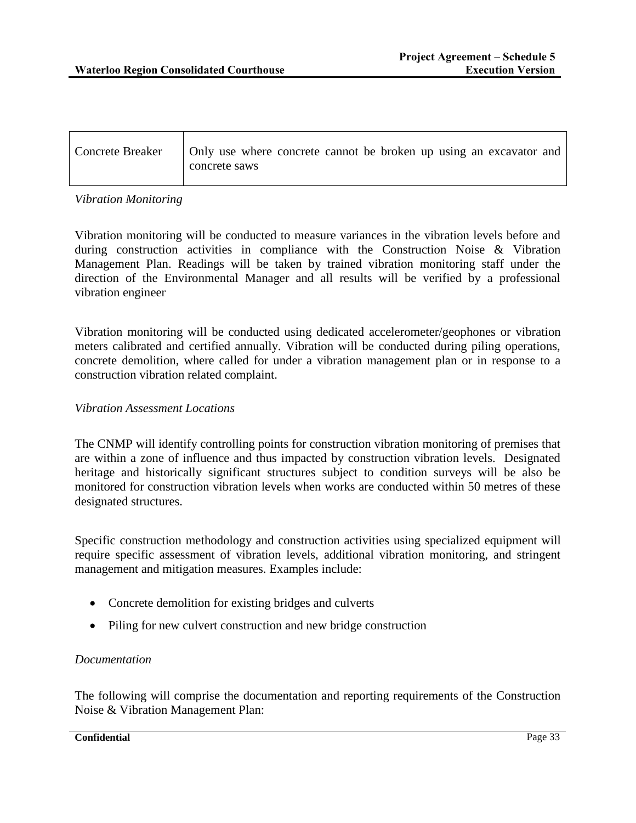| Concrete Breaker   Only use where concrete cannot be broken up using an excavator and<br>concrete saws |
|--------------------------------------------------------------------------------------------------------|
|                                                                                                        |

### *Vibration Monitoring*

Vibration monitoring will be conducted to measure variances in the vibration levels before and during construction activities in compliance with the Construction Noise & Vibration Management Plan. Readings will be taken by trained vibration monitoring staff under the direction of the Environmental Manager and all results will be verified by a professional vibration engineer

Vibration monitoring will be conducted using dedicated accelerometer/geophones or vibration meters calibrated and certified annually. Vibration will be conducted during piling operations, concrete demolition, where called for under a vibration management plan or in response to a construction vibration related complaint.

### *Vibration Assessment Locations*

The CNMP will identify controlling points for construction vibration monitoring of premises that are within a zone of influence and thus impacted by construction vibration levels. Designated heritage and historically significant structures subject to condition surveys will be also be monitored for construction vibration levels when works are conducted within 50 metres of these designated structures.

Specific construction methodology and construction activities using specialized equipment will require specific assessment of vibration levels, additional vibration monitoring, and stringent management and mitigation measures. Examples include:

- Concrete demolition for existing bridges and culverts
- Piling for new culvert construction and new bridge construction

### *Documentation*

The following will comprise the documentation and reporting requirements of the Construction Noise & Vibration Management Plan:

#### **Confidential** Page 33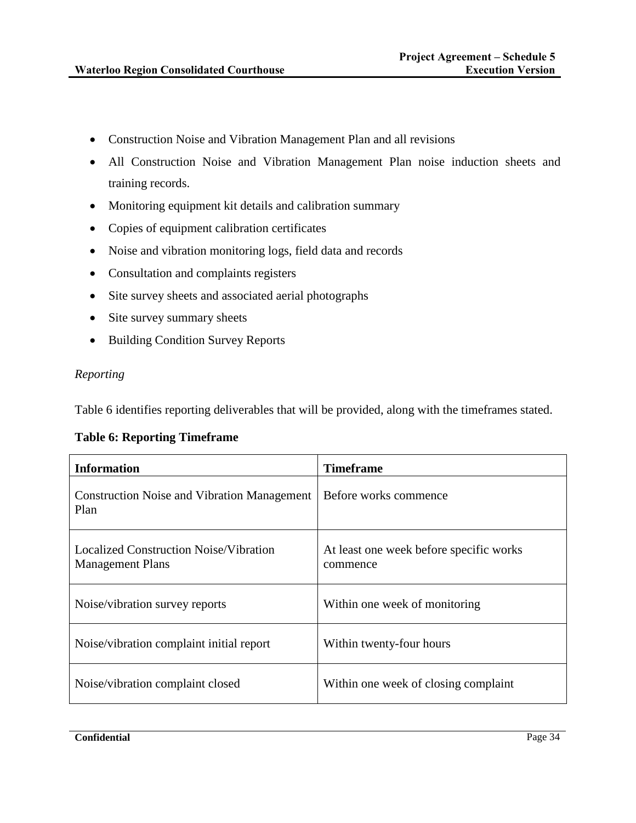- Construction Noise and Vibration Management Plan and all revisions
- All Construction Noise and Vibration Management Plan noise induction sheets and training records.
- Monitoring equipment kit details and calibration summary
- Copies of equipment calibration certificates
- Noise and vibration monitoring logs, field data and records
- Consultation and complaints registers
- Site survey sheets and associated aerial photographs
- Site survey summary sheets
- Building Condition Survey Reports

### *Reporting*

Table 6 identifies reporting deliverables that will be provided, along with the timeframes stated.

### **Table 6: Reporting Timeframe**

| <b>Information</b>                                                | Timeframe                                           |
|-------------------------------------------------------------------|-----------------------------------------------------|
| <b>Construction Noise and Vibration Management</b><br>Plan        | Before works commence                               |
| Localized Construction Noise/Vibration<br><b>Management Plans</b> | At least one week before specific works<br>commence |
| Noise/vibration survey reports                                    | Within one week of monitoring                       |
| Noise/vibration complaint initial report                          | Within twenty-four hours                            |
| Noise/vibration complaint closed                                  | Within one week of closing complaint                |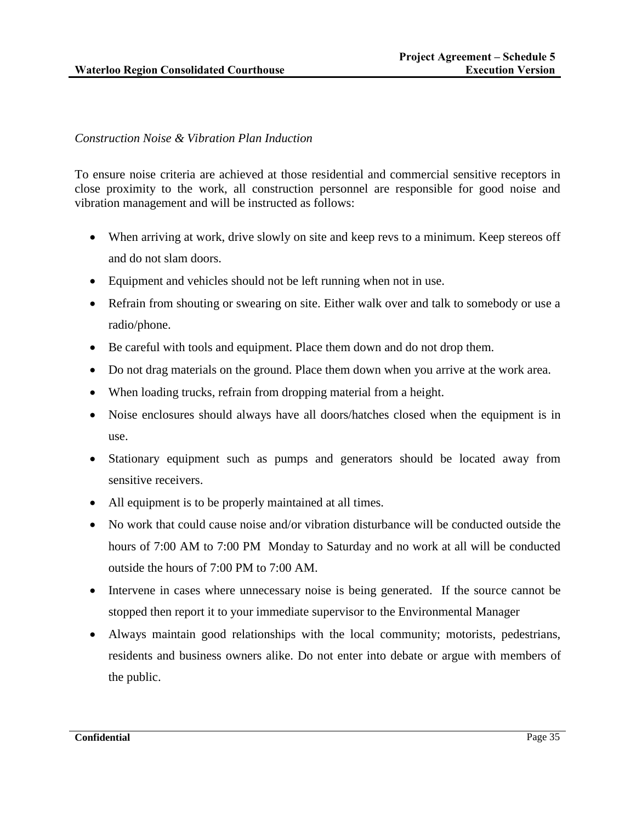# *Construction Noise & Vibration Plan Induction*

To ensure noise criteria are achieved at those residential and commercial sensitive receptors in close proximity to the work, all construction personnel are responsible for good noise and vibration management and will be instructed as follows:

- When arriving at work, drive slowly on site and keep revs to a minimum. Keep stereos off and do not slam doors.
- Equipment and vehicles should not be left running when not in use.
- Refrain from shouting or swearing on site. Either walk over and talk to somebody or use a radio/phone.
- Be careful with tools and equipment. Place them down and do not drop them.
- Do not drag materials on the ground. Place them down when you arrive at the work area.
- When loading trucks, refrain from dropping material from a height.
- Noise enclosures should always have all doors/hatches closed when the equipment is in use.
- Stationary equipment such as pumps and generators should be located away from sensitive receivers.
- All equipment is to be properly maintained at all times.
- No work that could cause noise and/or vibration disturbance will be conducted outside the hours of 7:00 AM to 7:00 PM Monday to Saturday and no work at all will be conducted outside the hours of 7:00 PM to 7:00 AM.
- Intervene in cases where unnecessary noise is being generated. If the source cannot be stopped then report it to your immediate supervisor to the Environmental Manager
- Always maintain good relationships with the local community; motorists, pedestrians, residents and business owners alike. Do not enter into debate or argue with members of the public.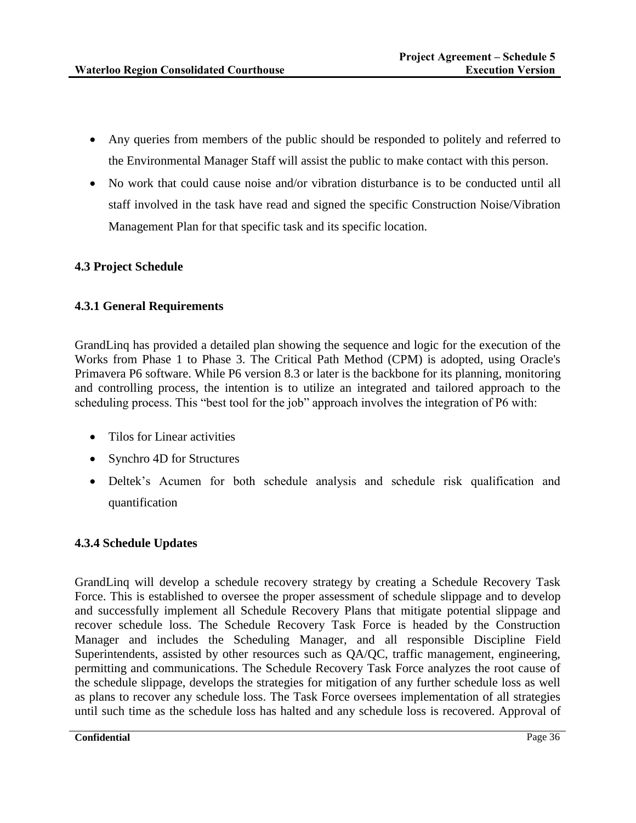- Any queries from members of the public should be responded to politely and referred to the Environmental Manager Staff will assist the public to make contact with this person.
- No work that could cause noise and/or vibration disturbance is to be conducted until all staff involved in the task have read and signed the specific Construction Noise/Vibration Management Plan for that specific task and its specific location.

# **4.3 Project Schedule**

# **4.3.1 General Requirements**

GrandLinq has provided a detailed plan showing the sequence and logic for the execution of the Works from Phase 1 to Phase 3. The Critical Path Method (CPM) is adopted, using Oracle's Primavera P6 software. While P6 version 8.3 or later is the backbone for its planning, monitoring and controlling process, the intention is to utilize an integrated and tailored approach to the scheduling process. This "best tool for the job" approach involves the integration of P6 with:

- Tilos for Linear activities
- Synchro 4D for Structures
- Deltek's Acumen for both schedule analysis and schedule risk qualification and quantification

# **4.3.4 Schedule Updates**

GrandLinq will develop a schedule recovery strategy by creating a Schedule Recovery Task Force. This is established to oversee the proper assessment of schedule slippage and to develop and successfully implement all Schedule Recovery Plans that mitigate potential slippage and recover schedule loss. The Schedule Recovery Task Force is headed by the Construction Manager and includes the Scheduling Manager, and all responsible Discipline Field Superintendents, assisted by other resources such as QA/QC, traffic management, engineering, permitting and communications. The Schedule Recovery Task Force analyzes the root cause of the schedule slippage, develops the strategies for mitigation of any further schedule loss as well as plans to recover any schedule loss. The Task Force oversees implementation of all strategies until such time as the schedule loss has halted and any schedule loss is recovered. Approval of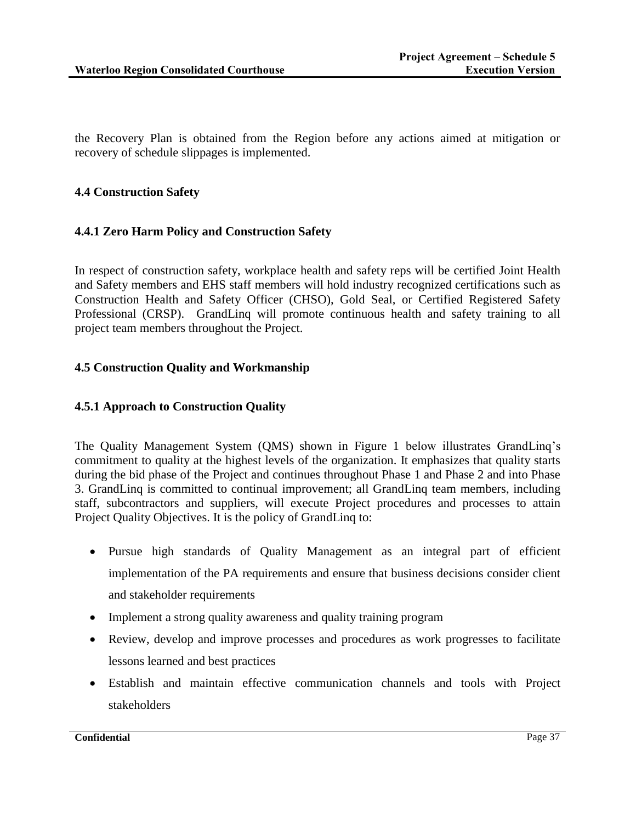the Recovery Plan is obtained from the Region before any actions aimed at mitigation or recovery of schedule slippages is implemented.

### **4.4 Construction Safety**

## **4.4.1 Zero Harm Policy and Construction Safety**

In respect of construction safety, workplace health and safety reps will be certified Joint Health and Safety members and EHS staff members will hold industry recognized certifications such as Construction Health and Safety Officer (CHSO), Gold Seal, or Certified Registered Safety Professional (CRSP). GrandLinq will promote continuous health and safety training to all project team members throughout the Project.

### **4.5 Construction Quality and Workmanship**

## **4.5.1 Approach to Construction Quality**

The Quality Management System (QMS) shown in Figure 1 below illustrates GrandLinq's commitment to quality at the highest levels of the organization. It emphasizes that quality starts during the bid phase of the Project and continues throughout Phase 1 and Phase 2 and into Phase 3. GrandLinq is committed to continual improvement; all GrandLinq team members, including staff, subcontractors and suppliers, will execute Project procedures and processes to attain Project Quality Objectives. It is the policy of GrandLinq to:

- Pursue high standards of Quality Management as an integral part of efficient implementation of the PA requirements and ensure that business decisions consider client and stakeholder requirements
- Implement a strong quality awareness and quality training program
- Review, develop and improve processes and procedures as work progresses to facilitate lessons learned and best practices
- Establish and maintain effective communication channels and tools with Project stakeholders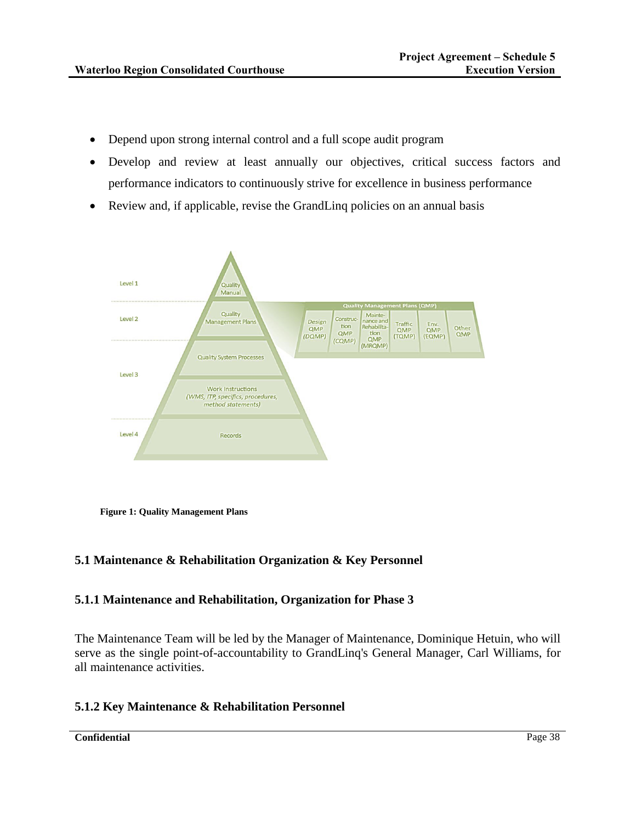- Depend upon strong internal control and a full scope audit program
- Develop and review at least annually our objectives, critical success factors and performance indicators to continuously strive for excellence in business performance
- Review and, if applicable, revise the GrandLinq policies on an annual basis



**Figure 1: Quality Management Plans** 

# **5.1 Maintenance & Rehabilitation Organization & Key Personnel**

# **5.1.1 Maintenance and Rehabilitation, Organization for Phase 3**

The Maintenance Team will be led by the Manager of Maintenance, Dominique Hetuin, who will serve as the single point-of-accountability to GrandLinq's General Manager, Carl Williams, for all maintenance activities.

# **5.1.2 Key Maintenance & Rehabilitation Personnel**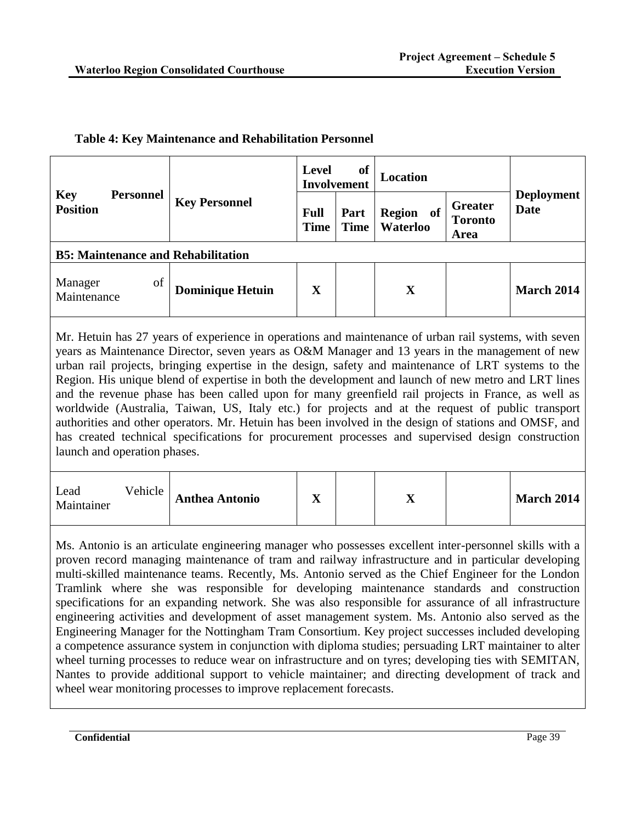|  | <b>Table 4: Key Maintenance and Rehabilitation Personnel</b> |  |  |
|--|--------------------------------------------------------------|--|--|
|  |                                                              |  |  |

|                               |                  | <b>Level</b>                                                                                                                                                                                     | of<br><b>Involvement</b>                   | Location                 |                                          |                                  |                   |
|-------------------------------|------------------|--------------------------------------------------------------------------------------------------------------------------------------------------------------------------------------------------|--------------------------------------------|--------------------------|------------------------------------------|----------------------------------|-------------------|
| <b>Key</b><br><b>Position</b> | <b>Personnel</b> | <b>Key Personnel</b>                                                                                                                                                                             | <b>Full</b><br>Part<br><b>Time</b><br>Time | Region<br>of<br>Waterloo | <b>Greater</b><br><b>Toronto</b><br>Area | <b>Deployment</b><br><b>Date</b> |                   |
|                               |                  | <b>B5: Maintenance and Rehabilitation</b>                                                                                                                                                        |                                            |                          |                                          |                                  |                   |
| Manager<br>Maintenance        | of               | <b>Dominique Hetuin</b>                                                                                                                                                                          | X                                          |                          | X                                        |                                  | <b>March 2014</b> |
|                               |                  | $\mathbf{M}_{\alpha}$ Health for $\mathbf{M}_{\alpha}$ and $\mathbf{L}_{\alpha}$ considered to consider and mathematically $\mathbf{L}_{\alpha}$ and an officially defined $\mathbf{M}_{\alpha}$ |                                            |                          |                                          |                                  |                   |

Mr. Hetuin has 27 years of experience in operations and maintenance of urban rail systems, with seven years as Maintenance Director, seven years as O&M Manager and 13 years in the management of new urban rail projects, bringing expertise in the design, safety and maintenance of LRT systems to the Region. His unique blend of expertise in both the development and launch of new metro and LRT lines and the revenue phase has been called upon for many greenfield rail projects in France, as well as worldwide (Australia, Taiwan, US, Italy etc.) for projects and at the request of public transport authorities and other operators. Mr. Hetuin has been involved in the design of stations and OMSF, and has created technical specifications for procurement processes and supervised design construction launch and operation phases.

| Lead<br>Maintainer | Vehicle | <b>Anthea Antonio</b> | ∡ъ |  | --<br>$\boldsymbol{\Lambda}$ |  | <b>March 2014</b> |
|--------------------|---------|-----------------------|----|--|------------------------------|--|-------------------|
|--------------------|---------|-----------------------|----|--|------------------------------|--|-------------------|

Ms. Antonio is an articulate engineering manager who possesses excellent inter-personnel skills with a proven record managing maintenance of tram and railway infrastructure and in particular developing multi-skilled maintenance teams. Recently, Ms. Antonio served as the Chief Engineer for the London Tramlink where she was responsible for developing maintenance standards and construction specifications for an expanding network. She was also responsible for assurance of all infrastructure engineering activities and development of asset management system. Ms. Antonio also served as the Engineering Manager for the Nottingham Tram Consortium. Key project successes included developing a competence assurance system in conjunction with diploma studies; persuading LRT maintainer to alter wheel turning processes to reduce wear on infrastructure and on tyres; developing ties with SEMITAN, Nantes to provide additional support to vehicle maintainer; and directing development of track and wheel wear monitoring processes to improve replacement forecasts.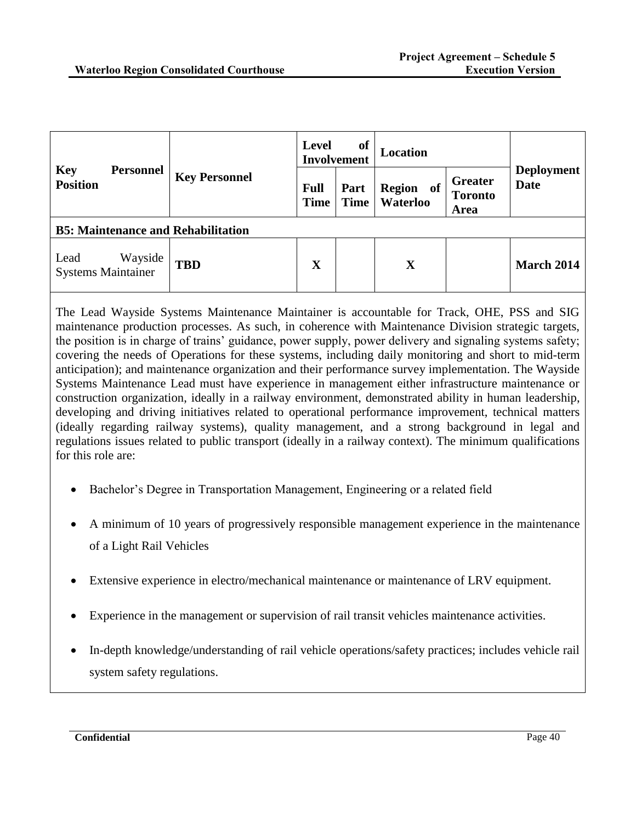| <b>Key</b><br><b>Personnel</b><br><b>Position</b> |                      | <b>of</b><br>Level<br><b>Involvement</b> |                     | Location                                                                    |                                  |                   |
|---------------------------------------------------|----------------------|------------------------------------------|---------------------|-----------------------------------------------------------------------------|----------------------------------|-------------------|
|                                                   | <b>Key Personnel</b> | <b>Full</b><br><b>Time</b>               | Part<br><b>Time</b> | <b>Greater</b><br><b>Region</b><br>of<br><b>Toronto</b><br>Waterloo<br>Area | <b>Deployment</b><br><b>Date</b> |                   |
| <b>B5: Maintenance and Rehabilitation</b>         |                      |                                          |                     |                                                                             |                                  |                   |
| Wayside<br>Lead<br><b>Systems Maintainer</b>      | <b>TBD</b>           | $\overline{\mathbf{X}}$                  |                     | $\mathbf X$                                                                 |                                  | <b>March 2014</b> |

The Lead Wayside Systems Maintenance Maintainer is accountable for Track, OHE, PSS and SIG maintenance production processes. As such, in coherence with Maintenance Division strategic targets, the position is in charge of trains' guidance, power supply, power delivery and signaling systems safety; covering the needs of Operations for these systems, including daily monitoring and short to mid-term anticipation); and maintenance organization and their performance survey implementation. The Wayside Systems Maintenance Lead must have experience in management either infrastructure maintenance or construction organization, ideally in a railway environment, demonstrated ability in human leadership, developing and driving initiatives related to operational performance improvement, technical matters (ideally regarding railway systems), quality management, and a strong background in legal and regulations issues related to public transport (ideally in a railway context). The minimum qualifications for this role are:

- Bachelor's Degree in Transportation Management, Engineering or a related field
- A minimum of 10 years of progressively responsible management experience in the maintenance of a Light Rail Vehicles
- Extensive experience in electro/mechanical maintenance or maintenance of LRV equipment.
- Experience in the management or supervision of rail transit vehicles maintenance activities.
- In-depth knowledge/understanding of rail vehicle operations/safety practices; includes vehicle rail system safety regulations.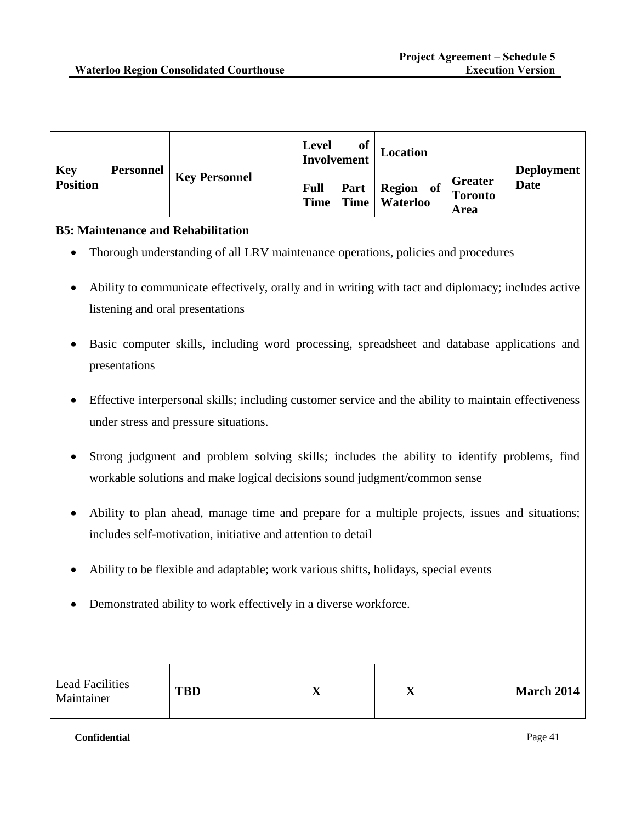| <b>Key Personnel</b><br>Greater<br><b>Position</b><br><b>Date</b><br>  Part   Region of $\vert$ Toronto<br><b>Full</b><br>Time   Time   Waterloo<br>Area |     |                  | Level of<br>Involvement |  | <b>Location</b> |  |                   |
|----------------------------------------------------------------------------------------------------------------------------------------------------------|-----|------------------|-------------------------|--|-----------------|--|-------------------|
|                                                                                                                                                          | Key | <b>Personnel</b> |                         |  |                 |  | <b>Deployment</b> |

## **B5: Maintenance and Rehabilitation**

- Thorough understanding of all LRV maintenance operations, policies and procedures
- Ability to communicate effectively, orally and in writing with tact and diplomacy; includes active listening and oral presentations
- Basic computer skills, including word processing, spreadsheet and database applications and presentations
- Effective interpersonal skills; including customer service and the ability to maintain effectiveness under stress and pressure situations.
- Strong judgment and problem solving skills; includes the ability to identify problems, find workable solutions and make logical decisions sound judgment/common sense
- Ability to plan ahead, manage time and prepare for a multiple projects, issues and situations; includes self-motivation, initiative and attention to detail
- Ability to be flexible and adaptable; work various shifts, holidays, special events
- Demonstrated ability to work effectively in a diverse workforce.

| Lead Facilities<br>Maintainer | <b>TBD</b> | ∡ъ | v<br>$\boldsymbol{\Lambda}$ | <b>March 2014</b> |
|-------------------------------|------------|----|-----------------------------|-------------------|
|                               |            |    |                             |                   |

**Confidential** Page 41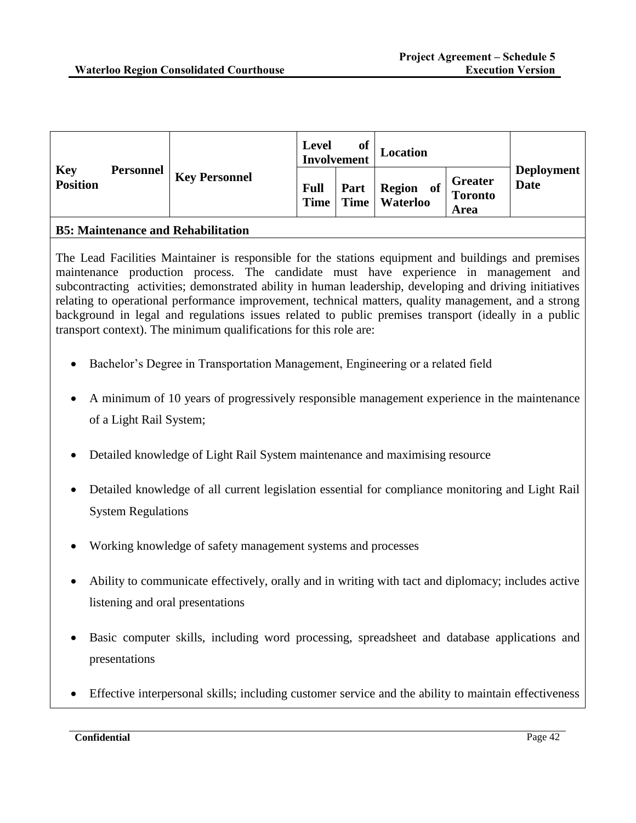|                               |                  |                      | Level<br>Involvement       | of | Location        |                                                                     |                                  |
|-------------------------------|------------------|----------------------|----------------------------|----|-----------------|---------------------------------------------------------------------|----------------------------------|
| <b>Key</b><br><b>Position</b> | <b>Personnel</b> | <b>Key Personnel</b> | <b>Full</b><br><b>Time</b> |    | Time   Waterloo | <b>Greater</b><br>  Part   Region of $\vert$ Toronto<br><b>Area</b> | <b>Deployment</b><br><b>Date</b> |

## **B5: Maintenance and Rehabilitation**

The Lead Facilities Maintainer is responsible for the stations equipment and buildings and premises maintenance production process. The candidate must have experience in management and subcontracting activities; demonstrated ability in human leadership, developing and driving initiatives relating to operational performance improvement, technical matters, quality management, and a strong background in legal and regulations issues related to public premises transport (ideally in a public transport context). The minimum qualifications for this role are:

- Bachelor's Degree in Transportation Management, Engineering or a related field
- A minimum of 10 years of progressively responsible management experience in the maintenance of a Light Rail System;
- Detailed knowledge of Light Rail System maintenance and maximising resource
- Detailed knowledge of all current legislation essential for compliance monitoring and Light Rail System Regulations
- Working knowledge of safety management systems and processes
- Ability to communicate effectively, orally and in writing with tact and diplomacy; includes active listening and oral presentations
- Basic computer skills, including word processing, spreadsheet and database applications and presentations
- Effective interpersonal skills; including customer service and the ability to maintain effectiveness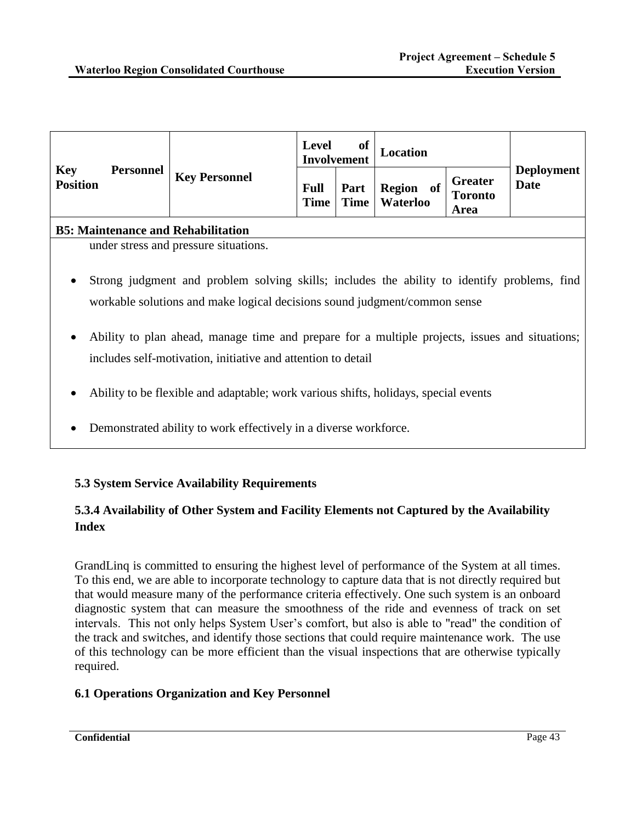|                                                   |                                                                                             | of<br>Level<br><b>Involvement</b> |      | Location                               |                                          |                                  |
|---------------------------------------------------|---------------------------------------------------------------------------------------------|-----------------------------------|------|----------------------------------------|------------------------------------------|----------------------------------|
| <b>Key</b><br><b>Personnel</b><br><b>Position</b> | <b>Key Personnel</b>                                                                        | <b>Full</b><br>Time               | Part | <b>Region</b><br>0ľ<br>Time   Waterloo | <b>Greater</b><br><b>Toronto</b><br>Area | <b>Deployment</b><br><b>Date</b> |
| <b>B5: Maintenance and Rehabilitation</b>         |                                                                                             |                                   |      |                                        |                                          |                                  |
|                                                   | under stress and pressure situations.                                                       |                                   |      |                                        |                                          |                                  |
| $\bullet$                                         | Strong judgment and problem solving skills; includes the ability to identify problems, find |                                   |      |                                        |                                          |                                  |

- workable solutions and make logical decisions sound judgment/common sense
- Ability to plan ahead, manage time and prepare for a multiple projects, issues and situations; includes self-motivation, initiative and attention to detail
- Ability to be flexible and adaptable; work various shifts, holidays, special events
- Demonstrated ability to work effectively in a diverse workforce.

# **5.3 System Service Availability Requirements**

# **5.3.4 Availability of Other System and Facility Elements not Captured by the Availability Index**

GrandLinq is committed to ensuring the highest level of performance of the System at all times. To this end, we are able to incorporate technology to capture data that is not directly required but that would measure many of the performance criteria effectively. One such system is an onboard diagnostic system that can measure the smoothness of the ride and evenness of track on set intervals. This not only helps System User's comfort, but also is able to "read" the condition of the track and switches, and identify those sections that could require maintenance work. The use of this technology can be more efficient than the visual inspections that are otherwise typically required.

# **6.1 Operations Organization and Key Personnel**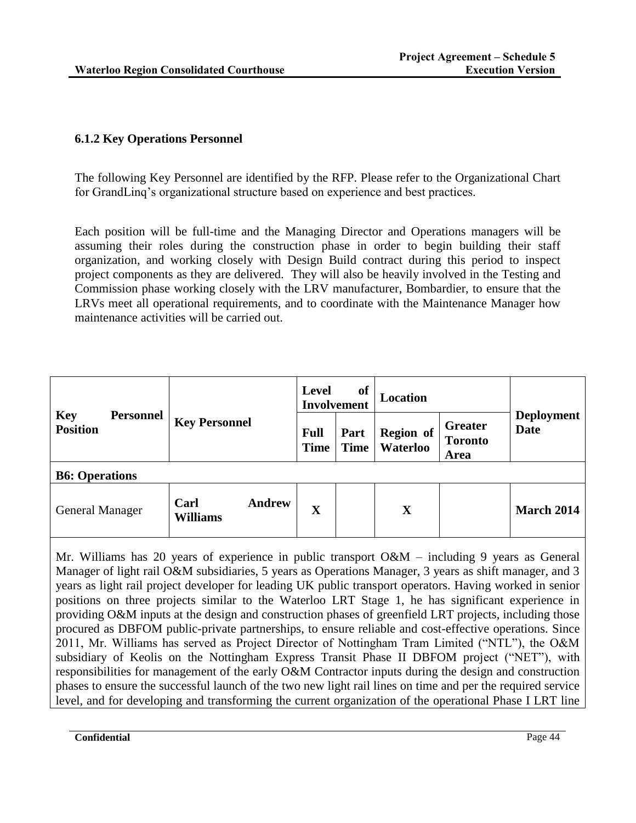# **6.1.2 Key Operations Personnel**

The following Key Personnel are identified by the RFP. Please refer to the Organizational Chart for GrandLinq's organizational structure based on experience and best practices.

Each position will be full-time and the Managing Director and Operations managers will be assuming their roles during the construction phase in order to begin building their staff organization, and working closely with Design Build contract during this period to inspect project components as they are delivered. They will also be heavily involved in the Testing and Commission phase working closely with the LRV manufacturer, Bombardier, to ensure that the LRVs meet all operational requirements, and to coordinate with the Maintenance Manager how maintenance activities will be carried out.

|                                                   |                                          | of<br><b>Level</b><br><b>Involvement</b> |                                                                                          | Location                         |  |                   |  |
|---------------------------------------------------|------------------------------------------|------------------------------------------|------------------------------------------------------------------------------------------|----------------------------------|--|-------------------|--|
| <b>Key</b><br><b>Personnel</b><br><b>Position</b> | <b>Key Personnel</b>                     | <b>Full</b><br><b>Time</b>               | <b>Greater</b><br>Region of<br>Part<br><b>Toronto</b><br>Waterloo<br><b>Time</b><br>Area | <b>Deployment</b><br><b>Date</b> |  |                   |  |
| <b>B6: Operations</b>                             |                                          |                                          |                                                                                          |                                  |  |                   |  |
| <b>General Manager</b>                            | <b>Andrew</b><br>Carl<br><b>Williams</b> | $\mathbf X$                              |                                                                                          | $\mathbf X$                      |  | <b>March 2014</b> |  |

Mr. Williams has 20 years of experience in public transport O&M – including 9 years as General Manager of light rail O&M subsidiaries, 5 years as Operations Manager, 3 years as shift manager, and 3 years as light rail project developer for leading UK public transport operators. Having worked in senior positions on three projects similar to the Waterloo LRT Stage 1, he has significant experience in providing O&M inputs at the design and construction phases of greenfield LRT projects, including those procured as DBFOM public-private partnerships, to ensure reliable and cost-effective operations. Since 2011, Mr. Williams has served as Project Director of Nottingham Tram Limited ("NTL"), the O&M subsidiary of Keolis on the Nottingham Express Transit Phase II DBFOM project ("NET"), with responsibilities for management of the early O&M Contractor inputs during the design and construction phases to ensure the successful launch of the two new light rail lines on time and per the required service level, and for developing and transforming the current organization of the operational Phase I LRT line